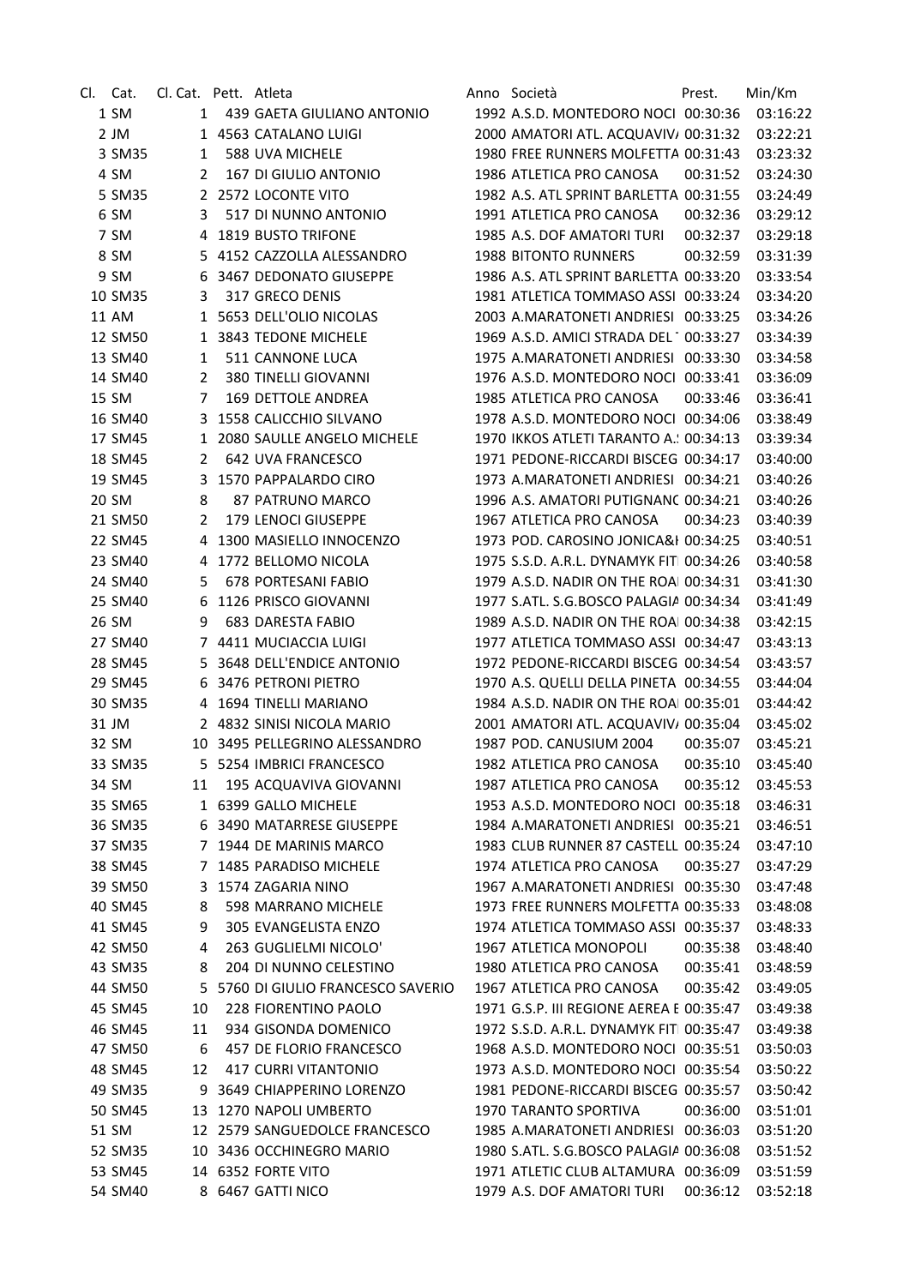| Cl. | Cat.    | Cl. Cat. Pett. Atleta |                                    | Anno Società                             | Prest.   | Min/Km   |
|-----|---------|-----------------------|------------------------------------|------------------------------------------|----------|----------|
|     | 1 SM    | 1                     | 439 GAETA GIULIANO ANTONIO         | 1992 A.S.D. MONTEDORO NOCI 00:30:36      |          | 03:16:22 |
|     | $2$ JM  |                       | 1 4563 CATALANO LUIGI              | 2000 AMATORI ATL. ACQUAVIV/ 00:31:32     |          | 03:22:21 |
|     | 3 SM35  | 1                     | 588 UVA MICHELE                    | 1980 FREE RUNNERS MOLFETTA 00:31:43      |          | 03:23:32 |
|     | 4 SM    | 2                     | 167 DI GIULIO ANTONIO              | 1986 ATLETICA PRO CANOSA                 | 00:31:52 | 03:24:30 |
|     | 5 SM35  |                       | 2 2572 LOCONTE VITO                | 1982 A.S. ATL SPRINT BARLETTA 00:31:55   |          | 03:24:49 |
|     | 6 SM    | 3                     | 517 DI NUNNO ANTONIO               | 1991 ATLETICA PRO CANOSA                 | 00:32:36 | 03:29:12 |
|     | 7 SM    |                       | 4 1819 BUSTO TRIFONE               | 1985 A.S. DOF AMATORI TURI               | 00:32:37 | 03:29:18 |
|     | 8 SM    |                       | 5 4152 CAZZOLLA ALESSANDRO         | 1988 BITONTO RUNNERS                     | 00:32:59 | 03:31:39 |
|     | 9 SM    | 6                     | 3467 DEDONATO GIUSEPPE             | 1986 A.S. ATL SPRINT BARLETTA 00:33:20   |          | 03:33:54 |
|     | 10 SM35 | 3                     | 317 GRECO DENIS                    | 1981 ATLETICA TOMMASO ASSI 00:33:24      |          | 03:34:20 |
|     | 11 AM   |                       | 1 5653 DELL'OLIO NICOLAS           | 2003 A.MARATONETI ANDRIESI 00:33:25      |          | 03:34:26 |
|     | 12 SM50 |                       | 1 3843 TEDONE MICHELE              | 1969 A.S.D. AMICI STRADA DEL 100:33:27   |          | 03:34:39 |
|     | 13 SM40 | 1                     | 511 CANNONE LUCA                   | 1975 A.MARATONETI ANDRIESI 00:33:30      |          | 03:34:58 |
|     | 14 SM40 | 2                     | 380 TINELLI GIOVANNI               | 1976 A.S.D. MONTEDORO NOCI 00:33:41      |          | 03:36:09 |
|     | 15 SM   | 7                     | 169 DETTOLE ANDREA                 | 1985 ATLETICA PRO CANOSA                 | 00:33:46 | 03:36:41 |
|     | 16 SM40 | 3                     | 1558 CALICCHIO SILVANO             | 1978 A.S.D. MONTEDORO NOCI 00:34:06      |          | 03:38:49 |
|     | 17 SM45 | $\mathbf{1}$          | 2080 SAULLE ANGELO MICHELE         | 1970 IKKOS ATLETI TARANTO A. ! 00:34:13  |          | 03:39:34 |
|     | 18 SM45 | 2                     | 642 UVA FRANCESCO                  | 1971 PEDONE-RICCARDI BISCEG 00:34:17     |          | 03:40:00 |
|     | 19 SM45 | 3                     | 1570 PAPPALARDO CIRO               | 1973 A.MARATONETI ANDRIESI 00:34:21      |          | 03:40:26 |
|     | 20 SM   | 8                     | 87 PATRUNO MARCO                   | 1996 A.S. AMATORI PUTIGNANC 00:34:21     |          | 03:40:26 |
|     | 21 SM50 | 2                     | 179 LENOCI GIUSEPPE                | 1967 ATLETICA PRO CANOSA                 | 00:34:23 | 03:40:39 |
|     | 22 SM45 | 4                     | 1300 MASIELLO INNOCENZO            | 1973 POD. CAROSINO JONICA&I 00:34:25     |          | 03:40:51 |
|     | 23 SM40 | 4                     | 1772 BELLOMO NICOLA                | 1975 S.S.D. A.R.L. DYNAMYK FITI 00:34:26 |          | 03:40:58 |
|     | 24 SM40 | 5                     | 678 PORTESANI FABIO                | 1979 A.S.D. NADIR ON THE ROAI 00:34:31   |          | 03:41:30 |
|     | 25 SM40 | 6                     | 1126 PRISCO GIOVANNI               | 1977 S.ATL. S.G.BOSCO PALAGIA 00:34:34   |          | 03:41:49 |
|     | 26 SM   | 9                     | 683 DARESTA FABIO                  | 1989 A.S.D. NADIR ON THE ROAI 00:34:38   |          | 03:42:15 |
|     | 27 SM40 |                       | 7 4411 MUCIACCIA LUIGI             | 1977 ATLETICA TOMMASO ASSI 00:34:47      |          | 03:43:13 |
|     | 28 SM45 | 5                     | 3648 DELL'ENDICE ANTONIO           | 1972 PEDONE-RICCARDI BISCEG 00:34:54     |          | 03:43:57 |
|     | 29 SM45 | 6                     | 3476 PETRONI PIETRO                | 1970 A.S. QUELLI DELLA PINETA 00:34:55   |          | 03:44:04 |
|     | 30 SM35 |                       | 4 1694 TINELLI MARIANO             | 1984 A.S.D. NADIR ON THE ROAI 00:35:01   |          | 03:44:42 |
|     | 31 JM   |                       | 2 4832 SINISI NICOLA MARIO         | 2001 AMATORI ATL. ACQUAVIV/ 00:35:04     |          | 03:45:02 |
|     | 32 SM   |                       | 10 3495 PELLEGRINO ALESSANDRO      | 1987 POD. CANUSIUM 2004                  | 00:35:07 | 03:45:21 |
|     | 33 SM35 |                       | 5 5254 IMBRICI FRANCESCO           | 1982 ATLETICA PRO CANOSA                 | 00:35:10 | 03:45:40 |
|     | 34 SM   | 11                    | 195 ACQUAVIVA GIOVANNI             | 1987 ATLETICA PRO CANOSA                 | 00:35:12 | 03:45:53 |
|     | 35 SM65 |                       | 1 6399 GALLO MICHELE               | 1953 A.S.D. MONTEDORO NOCI 00:35:18      |          | 03:46:31 |
|     | 36 SM35 | 6                     | 3490 MATARRESE GIUSEPPE            | 1984 A.MARATONETI ANDRIESI 00:35:21      |          | 03:46:51 |
|     | 37 SM35 |                       | 7 1944 DE MARINIS MARCO            | 1983 CLUB RUNNER 87 CASTELL 00:35:24     |          | 03:47:10 |
|     | 38 SM45 | 7                     | 1485 PARADISO MICHELE              | 1974 ATLETICA PRO CANOSA                 | 00:35:27 | 03:47:29 |
|     | 39 SM50 | 3                     | 1574 ZAGARIA NINO                  | 1967 A.MARATONETI ANDRIESI 00:35:30      |          | 03:47:48 |
|     | 40 SM45 | 8                     | 598 MARRANO MICHELE                | 1973 FREE RUNNERS MOLFETTA 00:35:33      |          | 03:48:08 |
|     | 41 SM45 | 9                     | 305 EVANGELISTA ENZO               | 1974 ATLETICA TOMMASO ASSI 00:35:37      |          | 03:48:33 |
|     | 42 SM50 | 4                     | 263 GUGLIELMI NICOLO'              | 1967 ATLETICA MONOPOLI                   | 00:35:38 | 03:48:40 |
|     | 43 SM35 | 8                     | 204 DI NUNNO CELESTINO             | 1980 ATLETICA PRO CANOSA                 | 00:35:41 | 03:48:59 |
|     | 44 SM50 |                       | 5 5760 DI GIULIO FRANCESCO SAVERIO | 1967 ATLETICA PRO CANOSA                 | 00:35:42 | 03:49:05 |
|     | 45 SM45 | 10                    | 228 FIORENTINO PAOLO               | 1971 G.S.P. III REGIONE AEREA E 00:35:47 |          | 03:49:38 |
|     | 46 SM45 | 11                    | 934 GISONDA DOMENICO               | 1972 S.S.D. A.R.L. DYNAMYK FIT 00:35:47  |          | 03:49:38 |
|     | 47 SM50 | 6                     | 457 DE FLORIO FRANCESCO            | 1968 A.S.D. MONTEDORO NOCI 00:35:51      |          | 03:50:03 |
|     | 48 SM45 | 12                    | <b>417 CURRI VITANTONIO</b>        | 1973 A.S.D. MONTEDORO NOCI 00:35:54      |          | 03:50:22 |
|     | 49 SM35 |                       | 3649 CHIAPPERINO LORENZO           | 1981 PEDONE-RICCARDI BISCEG 00:35:57     |          | 03:50:42 |
|     | 50 SM45 | 9<br>13               | 1270 NAPOLI UMBERTO                | 1970 TARANTO SPORTIVA                    | 00:36:00 | 03:51:01 |
|     | 51 SM   |                       | 12 2579 SANGUEDOLCE FRANCESCO      | 1985 A.MARATONETI ANDRIESI 00:36:03      |          | 03:51:20 |
|     |         |                       | 10 3436 OCCHINEGRO MARIO           | 1980 S.ATL. S.G.BOSCO PALAGIA 00:36:08   |          |          |
|     | 52 SM35 |                       | 14 6352 FORTE VITO                 | 1971 ATLETIC CLUB ALTAMURA 00:36:09      |          | 03:51:52 |
|     | 53 SM45 |                       |                                    |                                          |          | 03:51:59 |
|     | 54 SM40 |                       | 8 6467 GATTI NICO                  | 1979 A.S. DOF AMATORI TURI               | 00:36:12 | 03:52:18 |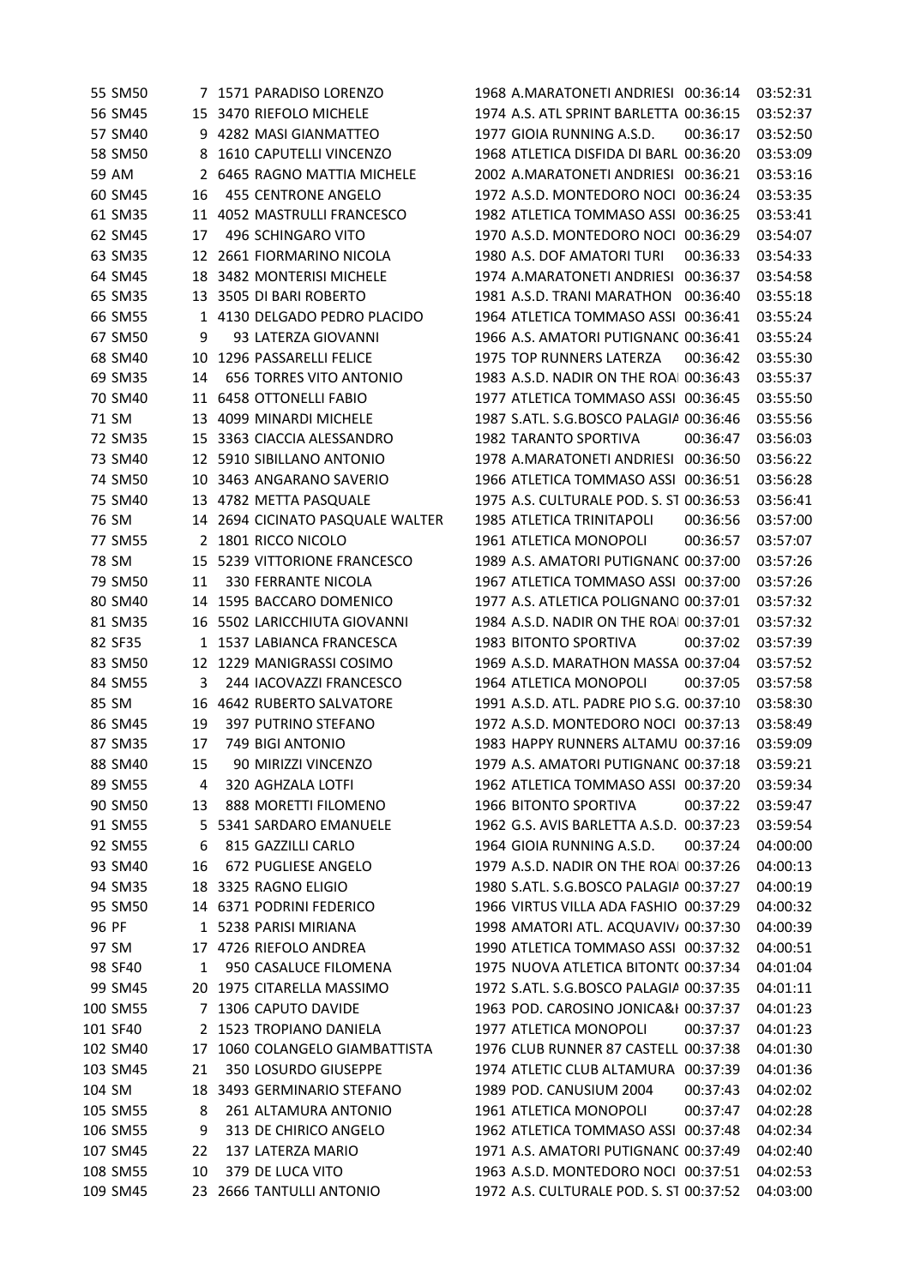|        | 55 SM50              |         | 7 1571 PARADISO LORENZO          | 1968 A.MARATONETI ANDRIESI 00:36:14      |          | 03:52:31             |
|--------|----------------------|---------|----------------------------------|------------------------------------------|----------|----------------------|
|        | 56 SM45              |         | 15 3470 RIEFOLO MICHELE          | 1974 A.S. ATL SPRINT BARLETTA 00:36:15   |          | 03:52:37             |
|        | 57 SM40              |         | 9 4282 MASI GIANMATTEO           | 1977 GIOIA RUNNING A.S.D.                | 00:36:17 | 03:52:50             |
|        | 58 SM50              |         | 8 1610 CAPUTELLI VINCENZO        | 1968 ATLETICA DISFIDA DI BARL 00:36:20   |          | 03:53:09             |
|        | 59 AM                |         | 2 6465 RAGNO MATTIA MICHELE      | 2002 A.MARATONETI ANDRIESI 00:36:21      |          | 03:53:16             |
|        | 60 SM45              | 16      | 455 CENTRONE ANGELO              | 1972 A.S.D. MONTEDORO NOCI 00:36:24      |          | 03:53:35             |
|        | 61 SM35              |         | 11 4052 MASTRULLI FRANCESCO      | 1982 ATLETICA TOMMASO ASSI 00:36:25      |          | 03:53:41             |
|        | 62 SM45              | 17      | 496 SCHINGARO VITO               | 1970 A.S.D. MONTEDORO NOCI 00:36:29      |          | 03:54:07             |
|        | 63 SM35              |         | 12 2661 FIORMARINO NICOLA        | 1980 A.S. DOF AMATORI TURI               | 00:36:33 | 03:54:33             |
|        | 64 SM45              | 18      | 3482 MONTERISI MICHELE           | 1974 A.MARATONETI ANDRIESI 00:36:37      |          | 03:54:58             |
|        | 65 SM35              |         | 13 3505 DI BARI ROBERTO          | 1981 A.S.D. TRANI MARATHON 00:36:40      |          | 03:55:18             |
|        | 66 SM55              |         | 1 4130 DELGADO PEDRO PLACIDO     | 1964 ATLETICA TOMMASO ASSI 00:36:41      |          | 03:55:24             |
|        | 67 SM50              | 9       | 93 LATERZA GIOVANNI              | 1966 A.S. AMATORI PUTIGNANC 00:36:41     |          | 03:55:24             |
|        | 68 SM40              | 10      | 1296 PASSARELLI FELICE           | 1975 TOP RUNNERS LATERZA                 | 00:36:42 | 03:55:30             |
|        | 69 SM35              | 14      | <b>656 TORRES VITO ANTONIO</b>   | 1983 A.S.D. NADIR ON THE ROAI 00:36:43   |          | 03:55:37             |
|        | 70 SM40              |         | 11 6458 OTTONELLI FABIO          | 1977 ATLETICA TOMMASO ASSI 00:36:45      |          | 03:55:50             |
|        | 71 SM                | 13      | 4099 MINARDI MICHELE             | 1987 S.ATL. S.G.BOSCO PALAGIA 00:36:46   |          | 03:55:56             |
|        | 72 SM35              | 15      | 3363 CIACCIA ALESSANDRO          | 1982 TARANTO SPORTIVA                    | 00:36:47 | 03:56:03             |
|        | 73 SM40              | 12      | 5910 SIBILLANO ANTONIO           | 1978 A.MARATONETI ANDRIESI 00:36:50      |          | 03:56:22             |
|        | 74 SM50              | 10      | 3463 ANGARANO SAVERIO            | 1966 ATLETICA TOMMASO ASSI 00:36:51      |          | 03:56:28             |
|        | 75 SM40              |         | 13 4782 METTA PASQUALE           | 1975 A.S. CULTURALE POD. S. ST 00:36:53  |          | 03:56:41             |
|        | 76 SM                |         | 14 2694 CICINATO PASQUALE WALTER | 1985 ATLETICA TRINITAPOLI                | 00:36:56 | 03:57:00             |
|        | 77 SM55              |         | 2 1801 RICCO NICOLO              | 1961 ATLETICA MONOPOLI                   | 00:36:57 | 03:57:07             |
|        | 78 SM                |         | 15 5239 VITTORIONE FRANCESCO     | 1989 A.S. AMATORI PUTIGNANC 00:37:00     |          | 03:57:26             |
|        | 79 SM50              | 11      | 330 FERRANTE NICOLA              | 1967 ATLETICA TOMMASO ASSI 00:37:00      |          | 03:57:26             |
|        | 80 SM40              | 14      | 1595 BACCARO DOMENICO            | 1977 A.S. ATLETICA POLIGNANO 00:37:01    |          | 03:57:32             |
|        | 81 SM35              | 16      | 5502 LARICCHIUTA GIOVANNI        | 1984 A.S.D. NADIR ON THE ROAI 00:37:01   |          | 03:57:32             |
|        | 82 SF35              | 1       | 1537 LABIANCA FRANCESCA          | 1983 BITONTO SPORTIVA                    | 00:37:02 | 03:57:39             |
|        | 83 SM50              |         | 12 1229 MANIGRASSI COSIMO        | 1969 A.S.D. MARATHON MASSA 00:37:04      |          | 03:57:52             |
|        | 84 SM55              | 3       | 244 IACOVAZZI FRANCESCO          | 1964 ATLETICA MONOPOLI                   | 00:37:05 | 03:57:58             |
|        | 85 SM                |         | 16 4642 RUBERTO SALVATORE        | 1991 A.S.D. ATL. PADRE PIO S.G. 00:37:10 |          | 03:58:30             |
|        | 86 SM45              | 19      | 397 PUTRINO STEFANO              | 1972 A.S.D. MONTEDORO NOCI 00:37:13      |          | 03:58:49             |
|        | 87 SM35              | 17      | 749 BIGI ANTONIO                 | 1983 HAPPY RUNNERS ALTAMU 00:37:16       |          | 03:59:09             |
|        | 88 SM40              | 15      | 90 MIRIZZI VINCENZO              | 1979 A.S. AMATORI PUTIGNANC 00:37:18     |          | 03:59:21             |
|        | 89 SM55              | 4       | 320 AGHZALA LOTFI                | 1962 ATLETICA TOMMASO ASSI 00:37:20      |          | 03:59:34             |
|        | 90 SM50              | 13      | 888 MORETTI FILOMENO             | 1966 BITONTO SPORTIVA                    | 00:37:22 | 03:59:47             |
|        | 91 SM55              | 5.      | 5341 SARDARO EMANUELE            | 1962 G.S. AVIS BARLETTA A.S.D. 00:37:23  |          | 03:59:54             |
|        | 92 SM55              | 6       | 815 GAZZILLI CARLO               | 1964 GIOIA RUNNING A.S.D.                | 00:37:24 | 04:00:00             |
|        | 93 SM40              | 16      | 672 PUGLIESE ANGELO              | 1979 A.S.D. NADIR ON THE ROAI 00:37:26   |          | 04:00:13             |
|        | 94 SM35              |         | 18 3325 RAGNO ELIGIO             | 1980 S.ATL. S.G.BOSCO PALAGIA 00:37:27   |          | 04:00:19             |
|        | 95 SM50              |         | 14 6371 PODRINI FEDERICO         | 1966 VIRTUS VILLA ADA FASHIO 00:37:29    |          | 04:00:32             |
| 96 PF  |                      |         | 1 5238 PARISI MIRIANA            | 1998 AMATORI ATL. ACQUAVIV/ 00:37:30     |          | 04:00:39             |
|        | 97 SM                |         | 17 4726 RIEFOLO ANDREA           | 1990 ATLETICA TOMMASO ASSI 00:37:32      |          | 04:00:51             |
|        | 98 SF40              | 1       | 950 CASALUCE FILOMENA            | 1975 NUOVA ATLETICA BITONT( 00:37:34     |          | 04:01:04             |
|        | 99 SM45              |         | 20 1975 CITARELLA MASSIMO        | 1972 S.ATL. S.G.BOSCO PALAGIA 00:37:35   |          | 04:01:11             |
|        | 100 SM55             |         | 7 1306 CAPUTO DAVIDE             | 1963 POD. CAROSINO JONICA&I 00:37:37     |          | 04:01:23             |
|        | 101 SF40             |         | 2 1523 TROPIANO DANIELA          | 1977 ATLETICA MONOPOLI                   | 00:37:37 | 04:01:23             |
|        | 102 SM40             | 17      | 1060 COLANGELO GIAMBATTISTA      | 1976 CLUB RUNNER 87 CASTELL 00:37:38     |          | 04:01:30             |
|        | 103 SM45             | 21      | 350 LOSURDO GIUSEPPE             | 1974 ATLETIC CLUB ALTAMURA 00:37:39      |          | 04:01:36             |
| 104 SM |                      | 18      | 3493 GERMINARIO STEFANO          | 1989 POD. CANUSIUM 2004                  | 00:37:43 | 04:02:02             |
|        |                      | 8       | 261 ALTAMURA ANTONIO             | 1961 ATLETICA MONOPOLI                   | 00:37:47 |                      |
|        | 105 SM55<br>106 SM55 |         | 313 DE CHIRICO ANGELO            | 1962 ATLETICA TOMMASO ASSI 00:37:48      |          | 04:02:28<br>04:02:34 |
|        | 107 SM45             | 9<br>22 | 137 LATERZA MARIO                | 1971 A.S. AMATORI PUTIGNANC 00:37:49     |          | 04:02:40             |
|        |                      | 10      | 379 DE LUCA VITO                 | 1963 A.S.D. MONTEDORO NOCI 00:37:51      |          | 04:02:53             |
|        | 108 SM55<br>109 SM45 |         |                                  | 1972 A.S. CULTURALE POD. S. ST 00:37:52  |          | 04:03:00             |
|        |                      |         | 23 2666 TANTULLI ANTONIO         |                                          |          |                      |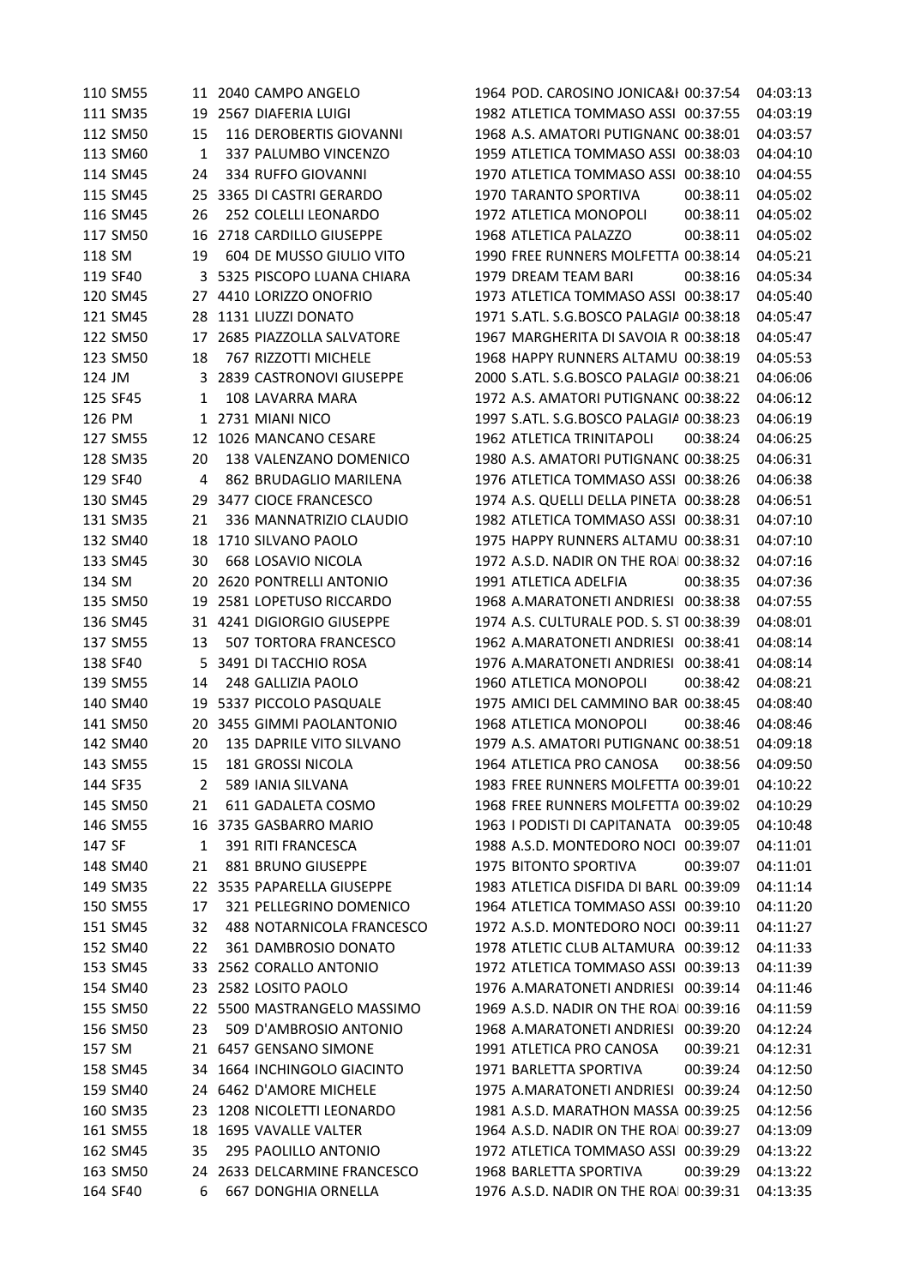110 SM55 11 2040 CAMPO ANGELO 1964 POD. CAROSINO JONICA&H 00:37:54 04:03:13 111 SM35 19 2567 DIAFERIA LUIGI 1982 ATLETICA TOMMASO ASSI 00:37:55 04:03:19 SM50 15 116 DEROBERTIS GIOVANNI 1968 A.S. AMATORI PUTIGNANO00:38:01 04:03:57 113 SM60 1 337 PALUMBO VINCENZO 1959 ATLETICA TOMMASO ASSI 00:38:03 04:04:10 114 SM45 24 334 RUFFO GIOVANNI 1970 ATLETICA TOMMASO ASSI 00:38:10 04:04:55 SM45 25 3365 DI CASTRI GERARDO 1970 TARANTO SPORTIVA 00:38:11 04:05:02 SM45 26 252 COLELLI LEONARDO 1972 ATLETICA MONOPOLI 00:38:11 04:05:02 SM50 16 2718 CARDILLO GIUSEPPE 1968 ATLETICA PALAZZO 00:38:11 04:05:02 SM 19 604 DE MUSSO GIULIO VITO 1990 FREE RUNNERS MOLFETTA 00:38:14 04:05:21 SF40 3 5325 PISCOPO LUANA CHIARA 1979 DREAM TEAM BARI 00:38:16 04:05:34 120 SM45 27 4410 LORIZZO ONOFRIO 1973 ATLETICA TOMMASO ASSI 00:38:17 04:05:40 121 SM45 28 1131 LIUZZI DONATO 1971 S.ATL. S.G.BOSCO PALAGIA 00:38:18 04:05:47 SM50 17 2685 PIAZZOLLA SALVATORE 1967 MARGHERITA DI SAVOIA RUNNERS 00:38:18 04:05:47 SM50 18 767 RIZZOTTI MICHELE 1968 HAPPY RUNNERS ALTAMURA00:38:19 04:05:53 124 JM 3 2839 CASTRONOVI GIUSEPPE 2000 S.ATL. S.G.BOSCO PALAGIA 00:38:21 04:06:06 SF45 1 108 LAVARRA MARA 1972 A.S. AMATORI PUTIGNANO00:38:22 04:06:12 126 PM 1 2731 MIANI NICO 1997 S.ATL. S.G.BOSCO PALAGIA 00:38:23 04:06:19 SM55 12 1026 MANCANO CESARE 1962 ATLETICA TRINITAPOLI 00:38:24 04:06:25 SM35 20 138 VALENZANO DOMENICO 1980 A.S. AMATORI PUTIGNANO00:38:25 04:06:31 SF40 4 862 BRUDAGLIO MARILENA 1976 ATLETICA TOMMASO ASSI TRANI 00:38:26 04:06:38 SM45 29 3477 CIOCE FRANCESCO 1974 A.S. QUELLI DELLA PINETA 00:38:28 04:06:51 131 SM35 21 336 MANNATRIZIO CLAUDIO 1982 ATLETICA TOMMASO ASSI 00:38:31 04:07:10 132 SM40 18 1710 SILVANO PAOLO 1975 HAPPY RUNNERS ALTAMU 00:38:31 04:07:10 133 SM45 30 668 LOSAVIO NICOLA 1972 A.S.D. NADIR ON THE ROAI 00:38:32 04:07:16 SM 20 2620 PONTRELLI ANTONIO 1991 ATLETICA ADELFIA 00:38:35 04:07:36 SM50 19 2581 LOPETUSO RICCARDO 1968 A.MARATONETI ANDRIESI 00:38:38 04:07:55 136 SM45 31 4241 DIGIORGIO GIUSEPPE 1974 A.S. CULTURALE POD. S. ST 00:38:39 04:08:01 SM55 13 507 TORTORA FRANCESCO 1962 A.MARATONETI ANDRIESI 00:38:41 04:08:14 SF40 5 3491 DI TACCHIO ROSA 1976 A.MARATONETI ANDRIESI 00:38:41 04:08:14 SM55 14 248 GALLIZIA PAOLO 1960 ATLETICA MONOPOLI 00:38:42 04:08:21 SM40 19 5337 PICCOLO PASQUALE 1975 AMICI DEL CAMMINO BARLETTA 00:38:45 04:08:40 SM50 20 3455 GIMMI PAOLANTONIO 1968 ATLETICA MONOPOLI 00:38:46 04:08:46 SM40 20 135 DAPRILE VITO SILVANO 1979 A.S. AMATORI PUTIGNANO00:38:51 04:09:18 SM55 15 181 GROSSI NICOLA 1964 ATLETICA PRO CANOSA 00:38:56 04:09:50 SF35 2 589 IANIA SILVANA 1983 FREE RUNNERS MOLFETTA 00:39:01 04:10:22 SM50 21 611 GADALETA COSMO 1968 FREE RUNNERS MOLFETTA 00:39:02 04:10:29 SM55 16 3735 GASBARRO MARIO 1963 I PODISTI DI CAPITANATA 00:39:05 04:10:48 SF 1 391 RITI FRANCESCA 1988 A.S.D. MONTEDORO NOCI 00:39:07 04:11:01 SM40 21 881 BRUNO GIUSEPPE 1975 BITONTO SPORTIVA 00:39:07 04:11:01 149 SM35 22 3535 PAPARELLA GIUSEPPE 1983 ATLETICA DISFIDA DI BARLI 00:39:09 04:11:14 150 SM55 17 321 PELLEGRINO DOMENICO 1964 ATLETICA TOMMASO ASSI 00:39:10 04:11:20 SM45 32 488 NOTARNICOLA FRANCESCO 1972 A.S.D. MONTEDORO NOCI 00:39:11 04:11:27 SM40 22 361 DAMBROSIO DONATO 1978 ATLETIC CLUB ALTAMURA 00:39:12 04:11:33 153 SM45 33 2562 CORALLO ANTONIO 1972 ATLETICA TOMMASO ASSI 00:39:13 04:11:39 SM40 23 2582 LOSITO PAOLO 1976 A.MARATONETI ANDRIESI 00:39:14 04:11:46 155 SM50 22 5500 MASTRANGELO MASSIMO 1969 A.S.D. NADIR ON THE ROAL 00:39:16 04:11:59 SM50 23 509 D'AMBROSIO ANTONIO 1968 A.MARATONETI ANDRIESI 00:39:20 04:12:24 SM 21 6457 GENSANO SIMONE 1991 ATLETICA PRO CANOSA 00:39:21 04:12:31 SM45 34 1664 INCHINGOLO GIACINTO 1971 BARLETTA SPORTIVA 00:39:24 04:12:50 SM40 24 6462 D'AMORE MICHELE 1975 A.MARATONETI ANDRIESI 00:39:24 04:12:50 SM35 23 1208 NICOLETTI LEONARDO 1981 A.S.D. MARATHON MASSAFRA00:39:25 04:12:56 161 SM55 18 1695 VAVALLE VALTER 1964 A.S.D. NADIR ON THE ROAL 00:39:27 04:13:09 SM45 35 295 PAOLILLO ANTONIO 1972 ATLETICA TOMMASO ASSI TRANI 00:39:29 04:13:22 SM50 24 2633 DELCARMINE FRANCESCO 1968 BARLETTA SPORTIVA 00:39:29 04:13:22 164 SF40 667 DONGHIA ORNELLA 1976 A.S.D. NADIR ON THE ROAI 00:39:31 04:13:35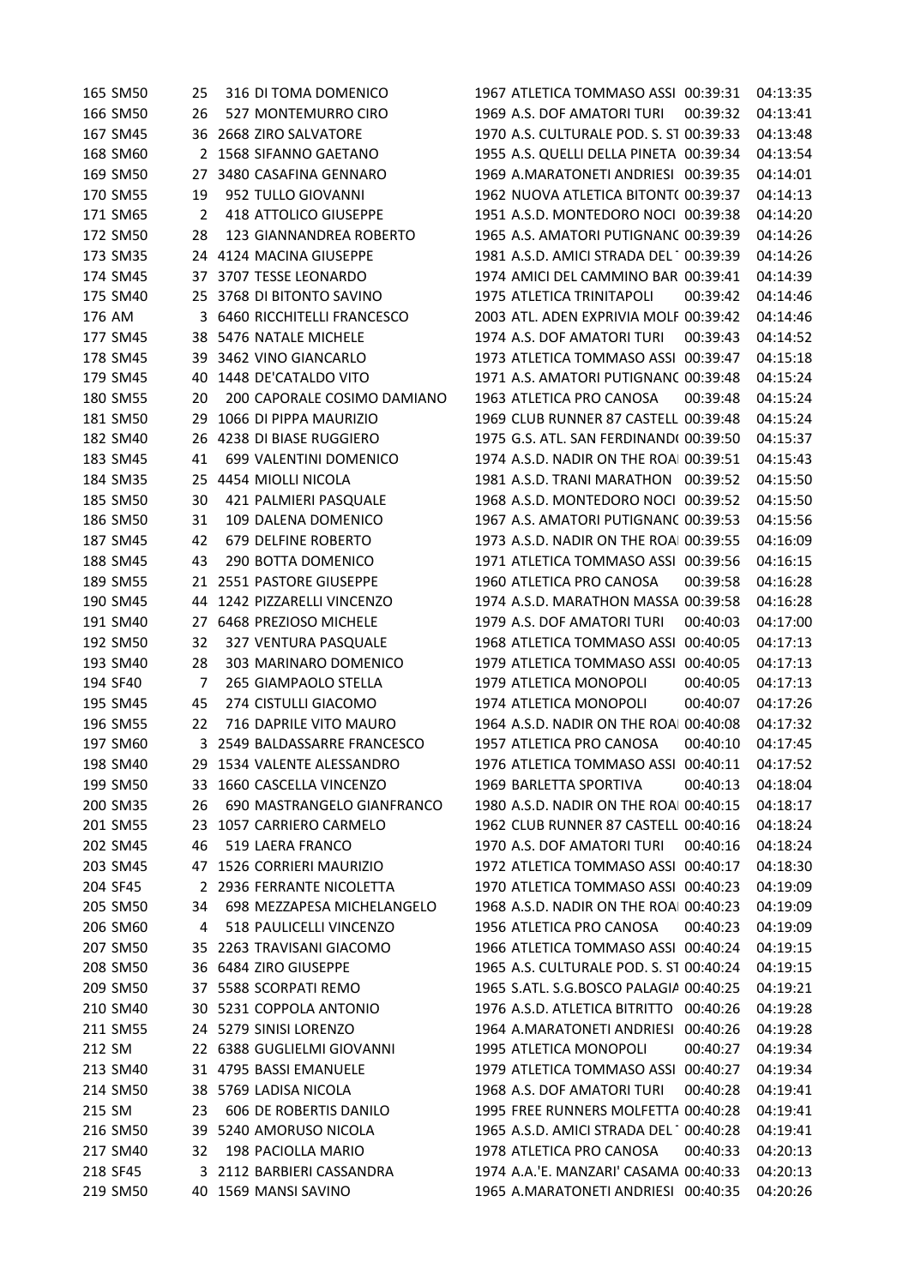166 SM50 26 527 MONTEMURRO CIRO 1969 A.S. DOF AMATORI TURI 00:39:32 04:13:41 167 SM45 36 2668 ZIRO SALVATORE 1970 A.S. CULTURALE POD. S. ST 00:39:33 04:13:48 168 SM60 2 1568 SIFANNO GAETANO 1955 A.S. QUELLI DELLA PINETA 00:39:34 04:13:54 169 SM50 27 3480 CASAFINA GENNARO 1969 A.MARATONETI ANDRIESI 00:39:35 04:14:01 170 SM55 19 952 TULLO GIOVANNI 1962 NUOVA ATLETICA BITONTO00:39:37 04:14:13 171 SM65 2 418 ATTOLICO GIUSEPPE 1951 A.S.D. MONTEDORO NOCI 00:39:38 04:14:20 172 SM50 28 123 GIANNANDREA ROBERTO 1965 A.S. AMATORI PUTIGNANC 00:39:39 04:14:26 173 SM35 24 4124 MACINA GIUSEPPE 1981 A.S.D. AMICI STRADA DEL 100:39:39 04:14:26 174 SM45 37 3707 TESSE LEONARDO 1974 AMICI DEL CAMMINO BARLETTA 00:39:41 04:14:39 175 SM40 25 3768 DI BITONTO SAVINO 1975 ATLETICA TRINITAPOLI 00:39:42 04:14:46 176 AM 3 6460 RICCHITELLI FRANCESCO 2003 ATL. ADEN EXPRIVIA MOLFETTA 00:39:42 04:14:46 177 SM45 38 5476 NATALE MICHELE 1974 A.S. DOF AMATORI TURI 00:39:43 04:14:52 178 SM45 39 3462 VINO GIANCARLO 1973 ATLETICA TOMMASO ASSI 00:39:47 04:15:18 179 SM45 40 1448 DE'CATALDO VITO 1971 A.S. AMATORI PUTIGNANO00:39:48 04:15:24 180 SM55 20 200 CAPORALE COSIMO DAMIANO 1963 ATLETICA PRO CANOSA 00:39:48 04:15:24 181 SM50 29 1066 DI PIPPA MAURIZIO 1969 CLUB RUNNER 87 CASTELL 00:39:48 04:15:24 182 SM40 26 4238 DI BIASE RUGGIERO 1975 G.S. ATL. SAN FERDINANDO00:39:50 04:15:37 183 SM45 41 699 VALENTINI DOMENICO 1974 A.S.D. NADIR ON THE ROAI 00:39:51 04:15:43 184 SM35 25 4454 MIOLLI NICOLA 1981 A.S.D. TRANI MARATHON 00:39:52 04:15:50 185 SM50 30 421 PALMIERI PASQUALE 1968 A.S.D. MONTEDORO NOCI 00:39:52 04:15:50 186 SM50 31 109 DALENA DOMENICO 1967 A.S. AMATORI PUTIGNANC 00:39:53 04:15:56 187 SM45 42 679 DELFINE ROBERTO 1973 A.S.D. NADIR ON THE ROAL 00:39:55 04:16:09 188 SM45 43 290 BOTTA DOMENICO 1971 ATLETICA TOMMASO ASSI 00:39:56 04:16:15 189 SM55 21 2551 PASTORE GIUSEPPE 1960 ATLETICA PRO CANOSA 00:39:58 04:16:28 190 SM45 44 1242 PIZZARELLI VINCENZO 1974 A.S.D. MARATHON MASSAFRA00:39:58 04:16:28 191 SM40 27 6468 PREZIOSO MICHELE 1979 A.S. DOF AMATORI TURI 00:40:03 04:17:00 192 SM50 32 327 VENTURA PASQUALE 1968 ATLETICA TOMMASO ASSI 00:40:05 04:17:13 193 SM40 28 303 MARINARO DOMENICO 1979 ATLETICA TOMMASO ASSI 00:40:05 04:17:13 194 SF40 7 265 GIAMPAOLO STELLA 1979 ATLETICA MONOPOLI 00:40:05 04:17:13 195 SM45 45 274 CISTULLI GIACOMO 1974 ATLETICA MONOPOLI 00:40:07 04:17:26 196 SM55 22 716 DAPRILE VITO MAURO 1964 A.S.D. NADIR ON THE ROAI 00:40:08 04:17:32 197 SM60 3 2549 BALDASSARRE FRANCESCO 1957 ATLETICA PRO CANOSA 00:40:10 04:17:45 198 SM40 29 1534 VALENTE ALESSANDRO 1976 ATLETICA TOMMASO ASSI TRANI 00:40:11 04:17:52 199 SM50 33 1660 CASCELLA VINCENZO 1969 BARLETTA SPORTIVA 00:40:13 04:18:04 200 SM35 26 690 MASTRANGELO GIANFRANCO 1980 A.S.D. NADIR ON THE ROAI 00:40:15 04:18:17 201 SM55 23 1057 CARRIERO CARMELO 1962 CLUB RUNNER 87 CASTELL 00:40:16 04:18:24 202 SM45 46 519 LAERA FRANCO 1970 A.S. DOF AMATORI TURI 00:40:16 04:18:24 203 SM45 47 1526 CORRIERI MAURIZIO 1972 ATLETICA TOMMASO ASSI 00:40:17 04:18:30 204 SF45 2 2936 FERRANTE NICOLETTA 1970 ATLETICA TOMMASO ASSI 00:40:23 04:19:09 205 SM50 34 698 MEZZAPESA MICHELANGELO 1968 A.S.D. NADIR ON THE ROAI 00:40:23 04:19:09 206 SM60 4 518 PAULICELLI VINCENZO 1956 ATLETICA PRO CANOSA 00:40:23 04:19:09 207 SM50 35 2263 TRAVISANI GIACOMO 1966 ATLETICA TOMMASO ASSI TRANI 00:40:24 04:19:15 208 SM50 36 6484 ZIRO GIUSEPPE 1965 A.S. CULTURALE POD. S. ST 00:40:24 04:19:15 209 SM50 37 5588 SCORPATI REMO 1965 S.ATL. S.G.BOSCO PALAGIA 00:40:25 04:19:21 210 SM40 30 5231 COPPOLA ANTONIO 1976 A.S.D. ATLETICA BITRITTO 00:40:26 04:19:28 211 SM55 24 5279 SINISI LORENZO 1964 A.MARATONETI ANDRIESI 00:40:26 04:19:28 212 SM 22 6388 GUGLIELMI GIOVANNI 1995 ATLETICA MONOPOLI 00:40:27 04:19:34 213 SM40 31 4795 BASSI EMANUELE 1979 ATLETICA TOMMASO ASSI 00:40:27 04:19:34 214 SM50 38 5769 LADISA NICOLA 1968 A.S. DOF AMATORI TURI 00:40:28 04:19:41 215 SM 23 606 DE ROBERTIS DANILO 1995 FREE RUNNERS MOLFETTA 00:40:28 04:19:41 216 SM50 39 5240 AMORUSO NICOLA 1965 A.S.D. AMICI STRADA DEL 100:40:28 04:19:41 217 SM40 32 198 PACIOLLA MARIO 1978 ATLETICA PRO CANOSA 00:40:33 04:20:13 218 SF45 3 2112 BARBIERI CASSANDRA 1974 A.A.'E. MANZARI' CASAMA 00:40:33 04:20:13 219 SM50 40 1569 MANSI SAVINO 1965 A.MARATONETI ANDRIESI 00:40:35 04:20:26

165 SM50 25 316 DI TOMA DOMENICO 1967 ATLETICA TOMMASO ASSI 00:39:31 04:13:35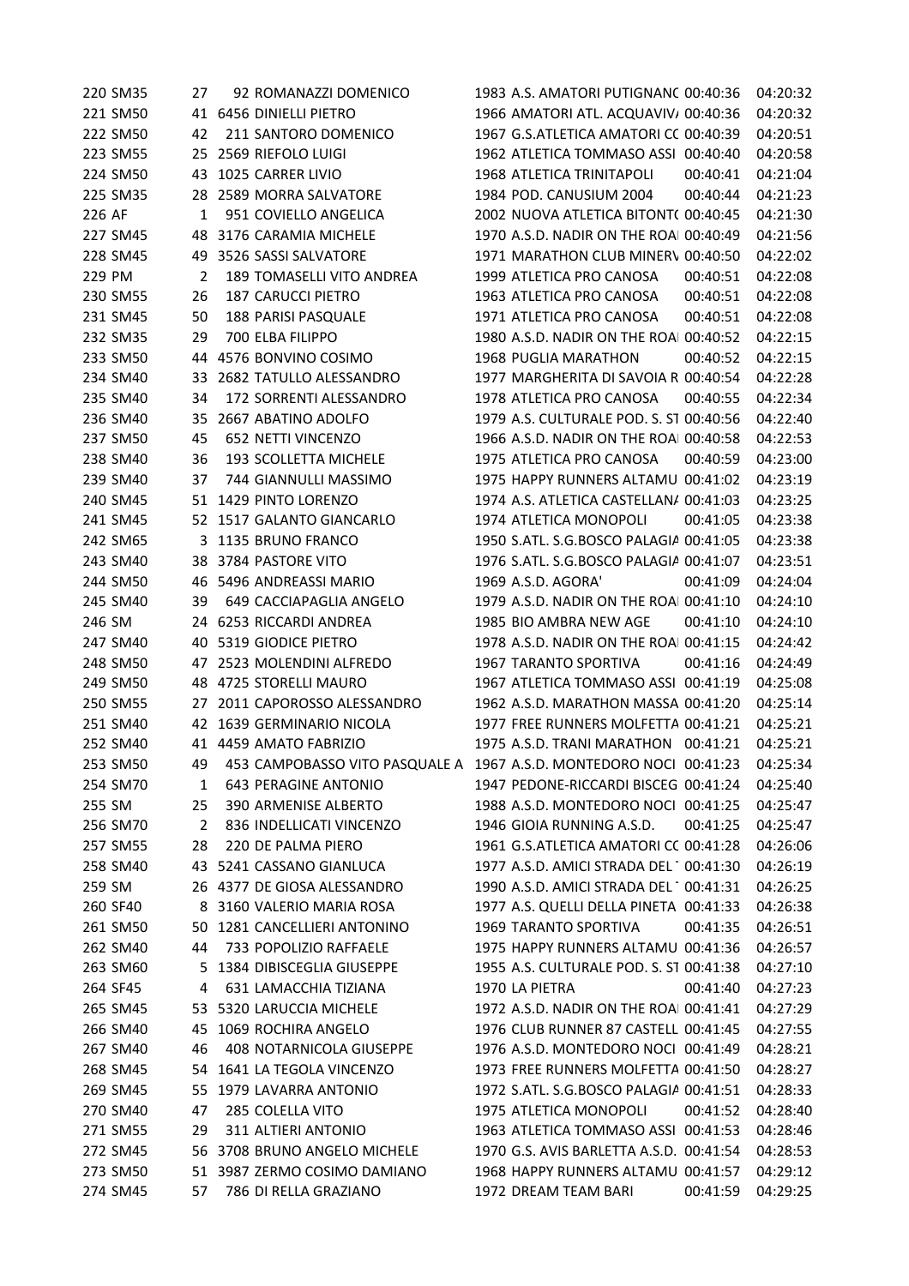220 SM35 27 92 ROMANAZZI DOMENICO 1983 A.S. AMATORI PUTIGNANC 00:40:36 04:20:32 221 SM50 41 6456 DINIELLI PIETRO 1966 AMATORI ATL. ACQUAVIVA00:40:36 04:20:32 222 SM50 42 211 SANTORO DOMENICO 1967 G.S.ATLETICA AMATORI CC 00:40:39 04:20:51 223 SM55 25 2569 RIEFOLO LUIGI 1962 ATLETICA TOMMASO ASSI 00:40:40 04:20:58 224 SM50 43 1025 CARRER LIVIO 1968 ATLETICA TRINITAPOLI 00:40:41 04:21:04 225 SM35 28 2589 MORRA SALVATORE 1984 POD. CANUSIUM 2004 00:40:44 04:21:23 226 AF 1 951 COVIELLO ANGELICA 2002 NUOVA ATLETICA BITONTO00:40:45 04:21:30 227 SM45 48 3176 CARAMIA MICHELE 1970 A.S.D. NADIR ON THE ROAI 00:40:49 04:21:56 228 SM45 49 3526 SASSI SALVATORE 1971 MARATHON CLUB MINERV 00:40:50 04:22:02 229 PM 2 189 TOMASELLI VITO ANDREA 1999 ATLETICA PRO CANOSA 00:40:51 04:22:08 230 SM55 26 187 CARUCCI PIETRO 1963 ATLETICA PRO CANOSA 00:40:51 04:22:08 231 SM45 50 188 PARISI PASQUALE 1971 ATLETICA PRO CANOSA 00:40:51 04:22:08 232 SM35 29 700 ELBA FILIPPO 1980 A.S.D. NADIR ON THE ROAI 00:40:52 04:22:15 233 SM50 44 4576 BONVINO COSIMO 1968 PUGLIA MARATHON 00:40:52 04:22:15 234 SM40 33 2682 TATULLO ALESSANDRO 1977 MARGHERITA DI SAVOIA R 00:40:54 04:22:28 235 SM40 34 172 SORRENTI ALESSANDRO 1978 ATLETICA PRO CANOSA 00:40:55 04:22:34 236 SM40 35 2667 ABATINO ADOLFO 1979 A.S. CULTURALE POD. S. ST 00:40:56 04:22:40 237 SM50 45 652 NETTI VINCENZO 1966 A.S.D. NADIR ON THE ROAI 00:40:58 04:22:53 238 SM40 36 193 SCOLLETTA MICHELE 1975 ATLETICA PRO CANOSA 00:40:59 04:23:00 239 SM40 37 744 GIANNULLI MASSIMO 1975 HAPPY RUNNERS ALTAMURA00:41:02 04:23:19 240 SM45 51 1429 PINTO LORENZO 1974 A.S. ATLETICA CASTELLANA 00:41:03 04:23:25 241 SM45 52 1517 GALANTO GIANCARLO 1974 ATLETICA MONOPOLI 00:41:05 04:23:38 242 SM65 3 1135 BRUNO FRANCO 1950 S.ATL. S.G.BOSCO PALAGIA 00:41:05 04:23:38 243 SM40 38 3784 PASTORE VITO 1976 S.ATL. S.G.BOSCO PALAGIA 00:41:07 04:23:51 244 SM50 46 5496 ANDREASSI MARIO 1969 A.S.D. AGORA' 00:41:09 04:24:04 245 SM40 39 649 CACCIAPAGLIA ANGELO 1979 A.S.D. NADIR ON THE ROAI 00:41:10 04:24:10 246 SM 24 6253 RICCARDI ANDREA 1985 BIO AMBRA NEW AGE 00:41:10 04:24:10 247 SM40 40 5319 GIODICE PIETRO 1978 A.S.D. NADIR ON THE ROAL 00:41:15 04:24:42 248 SM50 47 2523 MOLENDINI ALFREDO 1967 TARANTO SPORTIVA 00:41:16 04:24:49 249 SM50 48 4725 STORELLI MAURO 1967 ATLETICA TOMMASO ASSI 00:41:19 04:25:08 250 SM55 27 2011 CAPOROSSO ALESSANDRO 1962 A.S.D. MARATHON MASSAFRA00:41:20 04:25:14 251 SM40 42 1639 GERMINARIO NICOLA 1977 FREE RUNNERS MOLFETTA 00:41:21 04:25:21 252 SM40 41 4459 AMATO FABRIZIO 1975 A.S.D. TRANI MARATHON 00:41:21 04:25:21 253 SM50 49 453 CAMPOBASSO VITO PASQUALE A 1967 A.S.D. MONTEDORO NOCI 00:41:23 04:25:34 254 SM70 1 643 PERAGINE ANTONIO 1947 PEDONE-RICCARDI BISCEGLIE00:41:24 04:25:40 255 SM 25 390 ARMENISE ALBERTO 1988 A.S.D. MONTEDORO NOCI 00:41:25 04:25:47 256 SM70 2 836 INDELLICATI VINCENZO 1946 GIOIA RUNNING A.S.D. 00:41:25 04:25:47 257 SM55 28 220 DE PALMA PIERO 1961 G.S.ATLETICA AMATORI CC 00:41:28 04:26:06 258 SM40 43 5241 CASSANO GIANLUCA 1977 A.S.D. AMICI STRADA DEL 100:41:30 04:26:19 259 SM 26 4377 DE GIOSA ALESSANDRO 1990 A.S.D. AMICI STRADA DEL 1 00:41:31 04:26:25 260 SF40 8 3160 VALERIO MARIA ROSA 1977 A.S. QUELLI DELLA PINETA 00:41:33 04:26:38 261 SM50 50 1281 CANCELLIERI ANTONINO 1969 TARANTO SPORTIVA 00:41:35 04:26:51 262 SM40 44 733 POPOLIZIO RAFFAELE 1975 HAPPY RUNNERS ALTAMURA00:41:36 04:26:57 263 SM60 5 1384 DIBISCEGLIA GIUSEPPE 1955 A.S. CULTURALE POD. S. ST 00:41:38 04:27:10 264 SF45 4 631 LAMACCHIA TIZIANA 1970 LA PIETRA 00:41:40 04:27:23 265 SM45 53 5320 LARUCCIA MICHELE 1972 A.S.D. NADIR ON THE ROAI 00:41:41 04:27:29 266 SM40 45 1069 ROCHIRA ANGELO 1976 CLUB RUNNER 87 CASTELL 00:41:45 04:27:55 267 SM40 46 408 NOTARNICOLA GIUSEPPE 1976 A.S.D. MONTEDORO NOCI 00:41:49 04:28:21 268 SM45 54 1641 LA TEGOLA VINCENZO 1973 FREE RUNNERS MOLFETTA 00:41:50 04:28:27 269 SM45 55 1979 LAVARRA ANTONIO 1972 S.ATL. S.G.BOSCO PALAGIANELLO 00:41:51 04:28:33 270 SM40 47 285 COLELLA VITO 1975 ATLETICA MONOPOLI 00:41:52 04:28:40 271 SM55 29 311 ALTIERI ANTONIO 1963 ATLETICA TOMMASO ASSI 00:41:53 04:28:46 272 SM45 56 3708 BRUNO ANGELO MICHELE 1970 G.S. AVIS BARLETTA A.S.D. 00:41:54 04:28:53 273 SM50 51 3987 ZERMO COSIMO DAMIANO 1968 HAPPY RUNNERS ALTAMU 00:41:57 04:29:12 274 SM45 57 786 DI RELLA GRAZIANO 1972 DREAM TEAM BARI 00:41:59 04:29:25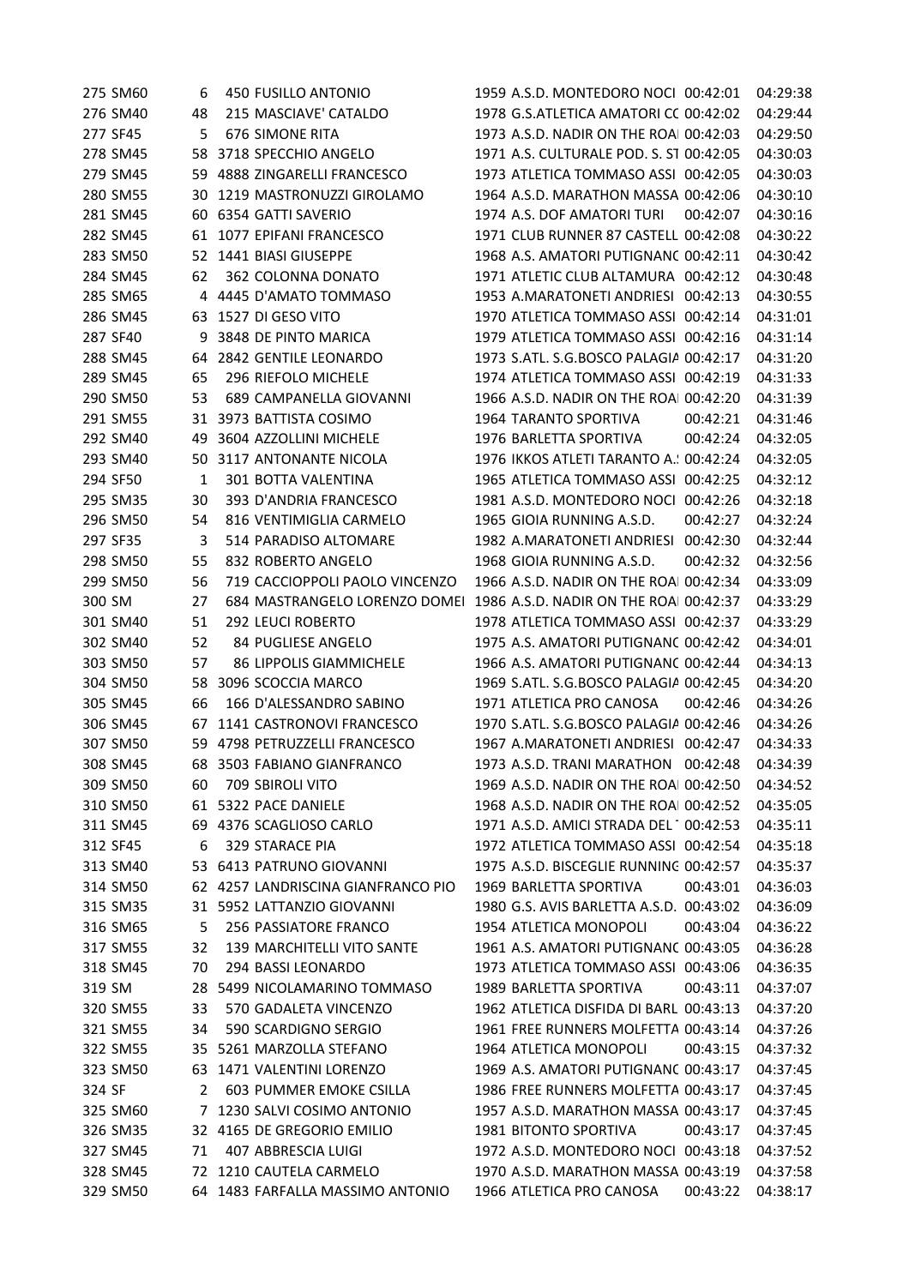|        | 275 SM60 | 6        | 450 FUSILLO ANTONIO               | 1959 A.S.D. MONTEDORO NOCI 00:42:01     |          | 04:29:38 |
|--------|----------|----------|-----------------------------------|-----------------------------------------|----------|----------|
|        | 276 SM40 | 48       | 215 MASCIAVE' CATALDO             | 1978 G.S.ATLETICA AMATORI CC 00:42:02   |          | 04:29:44 |
|        | 277 SF45 | 5        | <b>676 SIMONE RITA</b>            | 1973 A.S.D. NADIR ON THE ROAI 00:42:03  |          | 04:29:50 |
|        | 278 SM45 |          | 58 3718 SPECCHIO ANGELO           | 1971 A.S. CULTURALE POD. S. ST 00:42:05 |          | 04:30:03 |
|        | 279 SM45 | 59       | 4888 ZINGARELLI FRANCESCO         | 1973 ATLETICA TOMMASO ASSI 00:42:05     |          | 04:30:03 |
|        | 280 SM55 | 30       | 1219 MASTRONUZZI GIROLAMO         | 1964 A.S.D. MARATHON MASSA 00:42:06     |          | 04:30:10 |
|        | 281 SM45 | 60       | 6354 GATTI SAVERIO                | 1974 A.S. DOF AMATORI TURI              | 00:42:07 | 04:30:16 |
|        | 282 SM45 | 61       | 1077 EPIFANI FRANCESCO            | 1971 CLUB RUNNER 87 CASTELL 00:42:08    |          | 04:30:22 |
|        | 283 SM50 | 52       | 1441 BIASI GIUSEPPE               | 1968 A.S. AMATORI PUTIGNANC 00:42:11    |          | 04:30:42 |
|        | 284 SM45 | 62       | 362 COLONNA DONATO                | 1971 ATLETIC CLUB ALTAMURA 00:42:12     |          | 04:30:48 |
|        | 285 SM65 |          | 4 4445 D'AMATO TOMMASO            | 1953 A.MARATONETI ANDRIESI 00:42:13     |          | 04:30:55 |
|        | 286 SM45 |          | 63 1527 DI GESO VITO              | 1970 ATLETICA TOMMASO ASSI 00:42:14     |          | 04:31:01 |
|        | 287 SF40 | 9        | 3848 DE PINTO MARICA              | 1979 ATLETICA TOMMASO ASSI 00:42:16     |          | 04:31:14 |
|        | 288 SM45 | 64       | 2842 GENTILE LEONARDO             | 1973 S.ATL. S.G.BOSCO PALAGIA 00:42:17  |          | 04:31:20 |
|        | 289 SM45 | 65       | 296 RIEFOLO MICHELE               | 1974 ATLETICA TOMMASO ASSI 00:42:19     |          | 04:31:33 |
|        | 290 SM50 | 53       | 689 CAMPANELLA GIOVANNI           | 1966 A.S.D. NADIR ON THE ROAI 00:42:20  |          | 04:31:39 |
|        | 291 SM55 | 31       | 3973 BATTISTA COSIMO              | 1964 TARANTO SPORTIVA                   | 00:42:21 | 04:31:46 |
|        | 292 SM40 | 49       | 3604 AZZOLLINI MICHELE            | 1976 BARLETTA SPORTIVA                  | 00:42:24 | 04:32:05 |
|        | 293 SM40 | 50       | 3117 ANTONANTE NICOLA             | 1976 IKKOS ATLETI TARANTO A. ! 00:42:24 |          | 04:32:05 |
|        | 294 SF50 | 1        | 301 BOTTA VALENTINA               | 1965 ATLETICA TOMMASO ASSI 00:42:25     |          | 04:32:12 |
|        | 295 SM35 | 30       | 393 D'ANDRIA FRANCESCO            | 1981 A.S.D. MONTEDORO NOCI 00:42:26     |          | 04:32:18 |
|        | 296 SM50 | 54       | 816 VENTIMIGLIA CARMELO           | 1965 GIOIA RUNNING A.S.D.               | 00:42:27 | 04:32:24 |
|        | 297 SF35 | 3        | 514 PARADISO ALTOMARE             | 1982 A.MARATONETI ANDRIESI 00:42:30     |          | 04:32:44 |
|        | 298 SM50 | 55       | 832 ROBERTO ANGELO                | 1968 GIOIA RUNNING A.S.D.               | 00:42:32 | 04:32:56 |
|        | 299 SM50 | 56       | 719 CACCIOPPOLI PAOLO VINCENZO    | 1966 A.S.D. NADIR ON THE ROAI 00:42:34  |          | 04:33:09 |
| 300 SM |          | 27       | 684 MASTRANGELO LORENZO DOMEI     | 1986 A.S.D. NADIR ON THE ROAI 00:42:37  |          | 04:33:29 |
|        | 301 SM40 | 51       | 292 LEUCI ROBERTO                 | 1978 ATLETICA TOMMASO ASSI 00:42:37     |          | 04:33:29 |
|        | 302 SM40 | 52       | 84 PUGLIESE ANGELO                | 1975 A.S. AMATORI PUTIGNANC 00:42:42    |          | 04:34:01 |
|        | 303 SM50 | 57       | <b>86 LIPPOLIS GIAMMICHELE</b>    | 1966 A.S. AMATORI PUTIGNANC 00:42:44    |          | 04:34:13 |
|        | 304 SM50 | 58       | 3096 SCOCCIA MARCO                | 1969 S.ATL. S.G.BOSCO PALAGIA 00:42:45  |          | 04:34:20 |
|        | 305 SM45 | 66       | 166 D'ALESSANDRO SABINO           | 1971 ATLETICA PRO CANOSA                | 00:42:46 | 04:34:26 |
|        | 306 SM45 | 67       | 1141 CASTRONOVI FRANCESCO         | 1970 S.ATL. S.G.BOSCO PALAGIA 00:42:46  |          | 04:34:26 |
|        | 307 SM50 |          | 59 4798 PETRUZZELLI FRANCESCO     | 1967 A.MARATONETI ANDRIESI 00:42:47     |          | 04:34:33 |
|        | 308 SM45 |          | 68 3503 FABIANO GIANFRANCO        | 1973 A.S.D. TRANI MARATHON 00:42:48     |          | 04:34:39 |
|        | 309 SM50 | 60       | <b>709 SBIROLI VITO</b>           | 1969 A.S.D. NADIR ON THE ROAI 00:42:50  |          | 04:34:52 |
|        | 310 SM50 |          | 61 5322 PACE DANIELE              | 1968 A.S.D. NADIR ON THE ROAI 00:42:52  |          | 04:35:05 |
|        | 311 SM45 |          | 69 4376 SCAGLIOSO CARLO           | 1971 A.S.D. AMICI STRADA DEL 100:42:53  |          | 04:35:11 |
|        | 312 SF45 | 6        | 329 STARACE PIA                   | 1972 ATLETICA TOMMASO ASSI 00:42:54     |          | 04:35:18 |
|        | 313 SM40 | 53       | 6413 PATRUNO GIOVANNI             | 1975 A.S.D. BISCEGLIE RUNNING 00:42:57  |          | 04:35:37 |
|        | 314 SM50 | 62       | 4257 LANDRISCINA GIANFRANCO PIO   | 1969 BARLETTA SPORTIVA                  | 00:43:01 | 04:36:03 |
|        | 315 SM35 | 31       | 5952 LATTANZIO GIOVANNI           | 1980 G.S. AVIS BARLETTA A.S.D. 00:43:02 |          | 04:36:09 |
|        | 316 SM65 | 5        | 256 PASSIATORE FRANCO             | 1954 ATLETICA MONOPOLI                  | 00:43:04 | 04:36:22 |
|        | 317 SM55 | 32       | <b>139 MARCHITELLI VITO SANTE</b> | 1961 A.S. AMATORI PUTIGNANC 00:43:05    |          | 04:36:28 |
|        | 318 SM45 | 70       | 294 BASSI LEONARDO                | 1973 ATLETICA TOMMASO ASSI 00:43:06     |          | 04:36:35 |
|        |          |          | 5499 NICOLAMARINO TOMMASO         | 1989 BARLETTA SPORTIVA                  | 00:43:11 |          |
| 319 SM |          | 28<br>33 | 570 GADALETA VINCENZO             | 1962 ATLETICA DISFIDA DI BARL 00:43:13  |          | 04:37:07 |
|        | 320 SM55 |          |                                   |                                         |          | 04:37:20 |
|        | 321 SM55 | 34       | 590 SCARDIGNO SERGIO              | 1961 FREE RUNNERS MOLFETTA 00:43:14     |          | 04:37:26 |
|        | 322 SM55 | 35       | 5261 MARZOLLA STEFANO             | 1964 ATLETICA MONOPOLI                  | 00:43:15 | 04:37:32 |
|        | 323 SM50 | 63       | 1471 VALENTINI LORENZO            | 1969 A.S. AMATORI PUTIGNANC 00:43:17    |          | 04:37:45 |
| 324 SF |          | 2        | 603 PUMMER EMOKE CSILLA           | 1986 FREE RUNNERS MOLFETTA 00:43:17     |          | 04:37:45 |
|        | 325 SM60 | 7        | 1230 SALVI COSIMO ANTONIO         | 1957 A.S.D. MARATHON MASSA 00:43:17     |          | 04:37:45 |
|        | 326 SM35 |          | 32 4165 DE GREGORIO EMILIO        | <b>1981 BITONTO SPORTIVA</b>            | 00:43:17 | 04:37:45 |
|        | 327 SM45 | 71       | 407 ABBRESCIA LUIGI               | 1972 A.S.D. MONTEDORO NOCI 00:43:18     |          | 04:37:52 |
|        | 328 SM45 |          | 72 1210 CAUTELA CARMELO           | 1970 A.S.D. MARATHON MASSA 00:43:19     |          | 04:37:58 |
|        | 329 SM50 |          | 64 1483 FARFALLA MASSIMO ANTONIO  | 1966 ATLETICA PRO CANOSA                | 00:43:22 | 04:38:17 |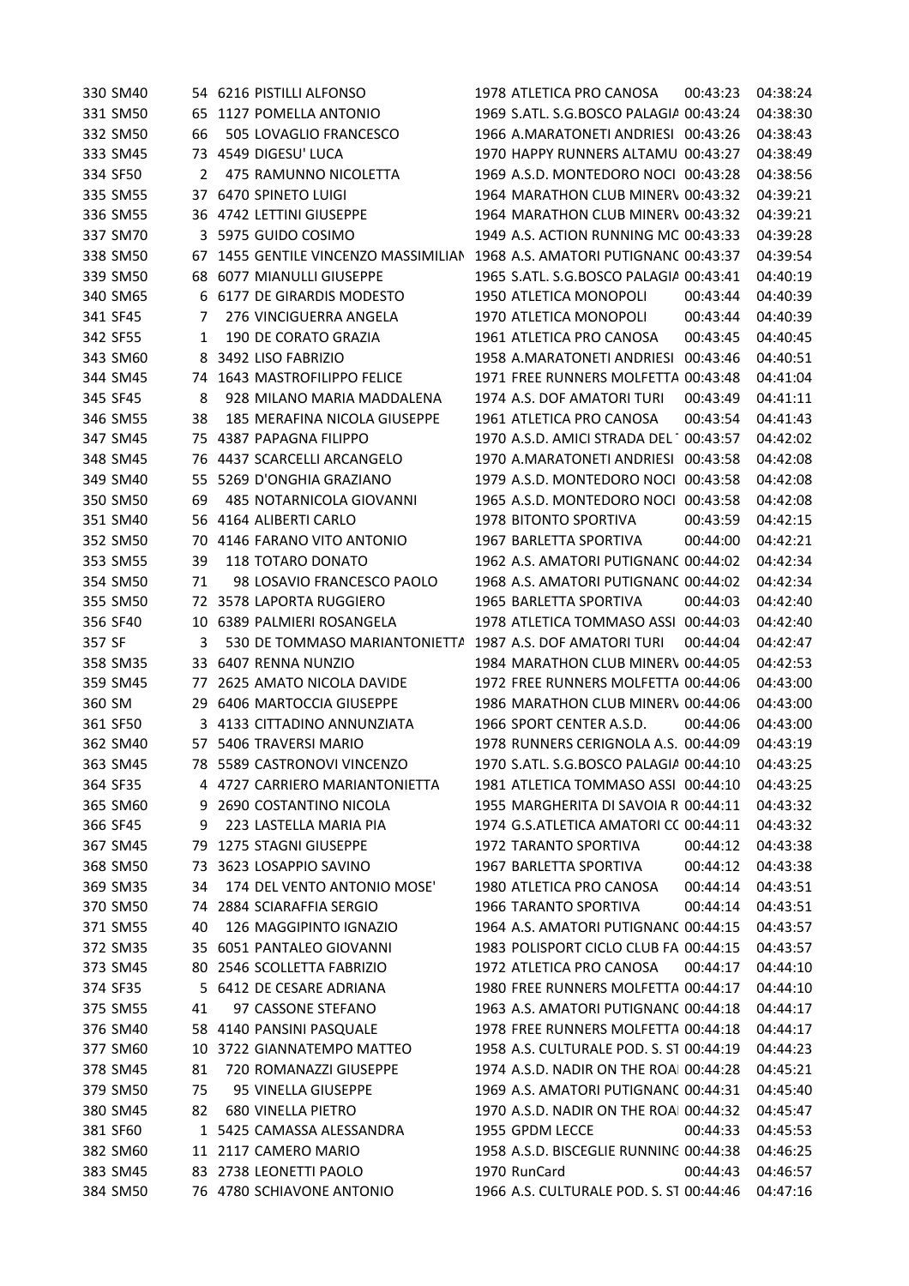| 330 SM40 |    | 54 6216 PISTILLI ALFONSO          | 1978 ATLETICA PRO CANOSA                | 00:43:23 | 04:38:24 |
|----------|----|-----------------------------------|-----------------------------------------|----------|----------|
| 331 SM50 | 65 | 1127 POMELLA ANTONIO              | 1969 S.ATL. S.G.BOSCO PALAGIA 00:43:24  |          | 04:38:30 |
| 332 SM50 | 66 | 505 LOVAGLIO FRANCESCO            | 1966 A.MARATONETI ANDRIESI 00:43:26     |          | 04:38:43 |
| 333 SM45 |    | 73 4549 DIGESU' LUCA              | 1970 HAPPY RUNNERS ALTAMU 00:43:27      |          | 04:38:49 |
| 334 SF50 | 2  | 475 RAMUNNO NICOLETTA             | 1969 A.S.D. MONTEDORO NOCI 00:43:28     |          | 04:38:56 |
| 335 SM55 |    | 37 6470 SPINETO LUIGI             | 1964 MARATHON CLUB MINERV 00:43:32      |          | 04:39:21 |
| 336 SM55 |    | 36 4742 LETTINI GIUSEPPE          | 1964 MARATHON CLUB MINERV 00:43:32      |          | 04:39:21 |
| 337 SM70 | 3  | 5975 GUIDO COSIMO                 | 1949 A.S. ACTION RUNNING MC 00:43:33    |          | 04:39:28 |
| 338 SM50 | 67 | 1455 GENTILE VINCENZO MASSIMILIAN | 1968 A.S. AMATORI PUTIGNANC 00:43:37    |          | 04:39:54 |
| 339 SM50 | 68 | 6077 MIANULLI GIUSEPPE            | 1965 S.ATL. S.G.BOSCO PALAGIA 00:43:41  |          | 04:40:19 |
| 340 SM65 | 6  | 6177 DE GIRARDIS MODESTO          | 1950 ATLETICA MONOPOLI                  | 00:43:44 | 04:40:39 |
| 341 SF45 | 7  | 276 VINCIGUERRA ANGELA            | 1970 ATLETICA MONOPOLI                  | 00:43:44 | 04:40:39 |
| 342 SF55 | 1  | 190 DE CORATO GRAZIA              | 1961 ATLETICA PRO CANOSA                | 00:43:45 | 04:40:45 |
| 343 SM60 | 8  | 3492 LISO FABRIZIO                | 1958 A.MARATONETI ANDRIESI 00:43:46     |          | 04:40:51 |
| 344 SM45 | 74 | 1643 MASTROFILIPPO FELICE         | 1971 FREE RUNNERS MOLFETTA 00:43:48     |          | 04:41:04 |
| 345 SF45 | 8  | 928 MILANO MARIA MADDALENA        | 1974 A.S. DOF AMATORI TURI              | 00:43:49 | 04:41:11 |
| 346 SM55 | 38 | 185 MERAFINA NICOLA GIUSEPPE      | 1961 ATLETICA PRO CANOSA                | 00:43:54 | 04:41:43 |
| 347 SM45 | 75 | 4387 PAPAGNA FILIPPO              | 1970 A.S.D. AMICI STRADA DEL 1 00:43:57 |          | 04:42:02 |
| 348 SM45 | 76 | 4437 SCARCELLI ARCANGELO          | 1970 A.MARATONETI ANDRIESI 00:43:58     |          | 04:42:08 |
| 349 SM40 | 55 | 5269 D'ONGHIA GRAZIANO            | 1979 A.S.D. MONTEDORO NOCI 00:43:58     |          | 04:42:08 |
| 350 SM50 | 69 | 485 NOTARNICOLA GIOVANNI          | 1965 A.S.D. MONTEDORO NOCI 00:43:58     |          | 04:42:08 |
| 351 SM40 |    | 56 4164 ALIBERTI CARLO            | 1978 BITONTO SPORTIVA                   | 00:43:59 | 04:42:15 |
| 352 SM50 | 70 | 4146 FARANO VITO ANTONIO          | 1967 BARLETTA SPORTIVA                  | 00:44:00 | 04:42:21 |
| 353 SM55 | 39 | 118 TOTARO DONATO                 | 1962 A.S. AMATORI PUTIGNANC 00:44:02    |          | 04:42:34 |
| 354 SM50 | 71 | 98 LOSAVIO FRANCESCO PAOLO        | 1968 A.S. AMATORI PUTIGNANC 00:44:02    |          | 04:42:34 |
| 355 SM50 | 72 | 3578 LAPORTA RUGGIERO             | 1965 BARLETTA SPORTIVA                  | 00:44:03 | 04:42:40 |
| 356 SF40 | 10 | 6389 PALMIERI ROSANGELA           | 1978 ATLETICA TOMMASO ASSI 00:44:03     |          | 04:42:40 |
| 357 SF   | 3  | 530 DE TOMMASO MARIANTONIETTA     | 1987 A.S. DOF AMATORI TURI              | 00:44:04 | 04:42:47 |
| 358 SM35 | 33 | 6407 RENNA NUNZIO                 | 1984 MARATHON CLUB MINERV 00:44:05      |          | 04:42:53 |
| 359 SM45 | 77 | 2625 AMATO NICOLA DAVIDE          | 1972 FREE RUNNERS MOLFETTA 00:44:06     |          | 04:43:00 |
| 360 SM   | 29 | 6406 MARTOCCIA GIUSEPPE           | 1986 MARATHON CLUB MINERV 00:44:06      |          | 04:43:00 |
| 361 SF50 |    | 3 4133 CITTADINO ANNUNZIATA       | 1966 SPORT CENTER A.S.D.                | 00:44:06 | 04:43:00 |
| 362 SM40 |    | 57 5406 TRAVERSI MARIO            | 1978 RUNNERS CERIGNOLA A.S. 00:44:09    |          | 04:43:19 |
| 363 SM45 | 78 | 5589 CASTRONOVI VINCENZO          | 1970 S.ATL. S.G.BOSCO PALAGIA 00:44:10  |          | 04:43:25 |
| 364 SF35 |    | 4 4727 CARRIERO MARIANTONIETTA    | 1981 ATLETICA TOMMASO ASSI 00:44:10     |          | 04:43:25 |
| 365 SM60 | 9  | 2690 COSTANTINO NICOLA            | 1955 MARGHERITA DI SAVOIA R 00:44:11    |          | 04:43:32 |
| 366 SF45 | 9  | 223 LASTELLA MARIA PIA            | 1974 G.S.ATLETICA AMATORI CC 00:44:11   |          | 04:43:32 |
| 367 SM45 | 79 | 1275 STAGNI GIUSEPPE              | <b>1972 TARANTO SPORTIVA</b>            | 00:44:12 | 04:43:38 |
| 368 SM50 | 73 | 3623 LOSAPPIO SAVINO              | 1967 BARLETTA SPORTIVA                  | 00:44:12 | 04:43:38 |
| 369 SM35 | 34 | 174 DEL VENTO ANTONIO MOSE'       | 1980 ATLETICA PRO CANOSA                | 00:44:14 | 04:43:51 |
| 370 SM50 | 74 | 2884 SCIARAFFIA SERGIO            | 1966 TARANTO SPORTIVA                   | 00:44:14 | 04:43:51 |
| 371 SM55 | 40 | 126 MAGGIPINTO IGNAZIO            | 1964 A.S. AMATORI PUTIGNANC 00:44:15    |          | 04:43:57 |
| 372 SM35 | 35 | 6051 PANTALEO GIOVANNI            | 1983 POLISPORT CICLO CLUB FA 00:44:15   |          | 04:43:57 |
| 373 SM45 |    | 80 2546 SCOLLETTA FABRIZIO        | 1972 ATLETICA PRO CANOSA                | 00:44:17 | 04:44:10 |
| 374 SF35 | 5. | 6412 DE CESARE ADRIANA            | 1980 FREE RUNNERS MOLFETTA 00:44:17     |          | 04:44:10 |
| 375 SM55 | 41 | 97 CASSONE STEFANO                | 1963 A.S. AMATORI PUTIGNANC 00:44:18    |          | 04:44:17 |
| 376 SM40 |    | 58 4140 PANSINI PASQUALE          | 1978 FREE RUNNERS MOLFETTA 00:44:18     |          | 04:44:17 |
| 377 SM60 | 10 | 3722 GIANNATEMPO MATTEO           | 1958 A.S. CULTURALE POD. S. ST 00:44:19 |          | 04:44:23 |
| 378 SM45 | 81 | 720 ROMANAZZI GIUSEPPE            | 1974 A.S.D. NADIR ON THE ROAI 00:44:28  |          | 04:45:21 |
| 379 SM50 | 75 | 95 VINELLA GIUSEPPE               | 1969 A.S. AMATORI PUTIGNANC 00:44:31    |          | 04:45:40 |
| 380 SM45 | 82 | <b>680 VINELLA PIETRO</b>         | 1970 A.S.D. NADIR ON THE ROAI 00:44:32  |          | 04:45:47 |
| 381 SF60 |    | 1 5425 CAMASSA ALESSANDRA         | 1955 GPDM LECCE                         | 00:44:33 | 04:45:53 |
| 382 SM60 |    | 11 2117 CAMERO MARIO              | 1958 A.S.D. BISCEGLIE RUNNING 00:44:38  |          | 04:46:25 |
| 383 SM45 |    | 83 2738 LEONETTI PAOLO            | 1970 RunCard                            | 00:44:43 | 04:46:57 |
| 384 SM50 |    | 76 4780 SCHIAVONE ANTONIO         | 1966 A.S. CULTURALE POD. S. ST 00:44:46 |          | 04:47:16 |
|          |    |                                   |                                         |          |          |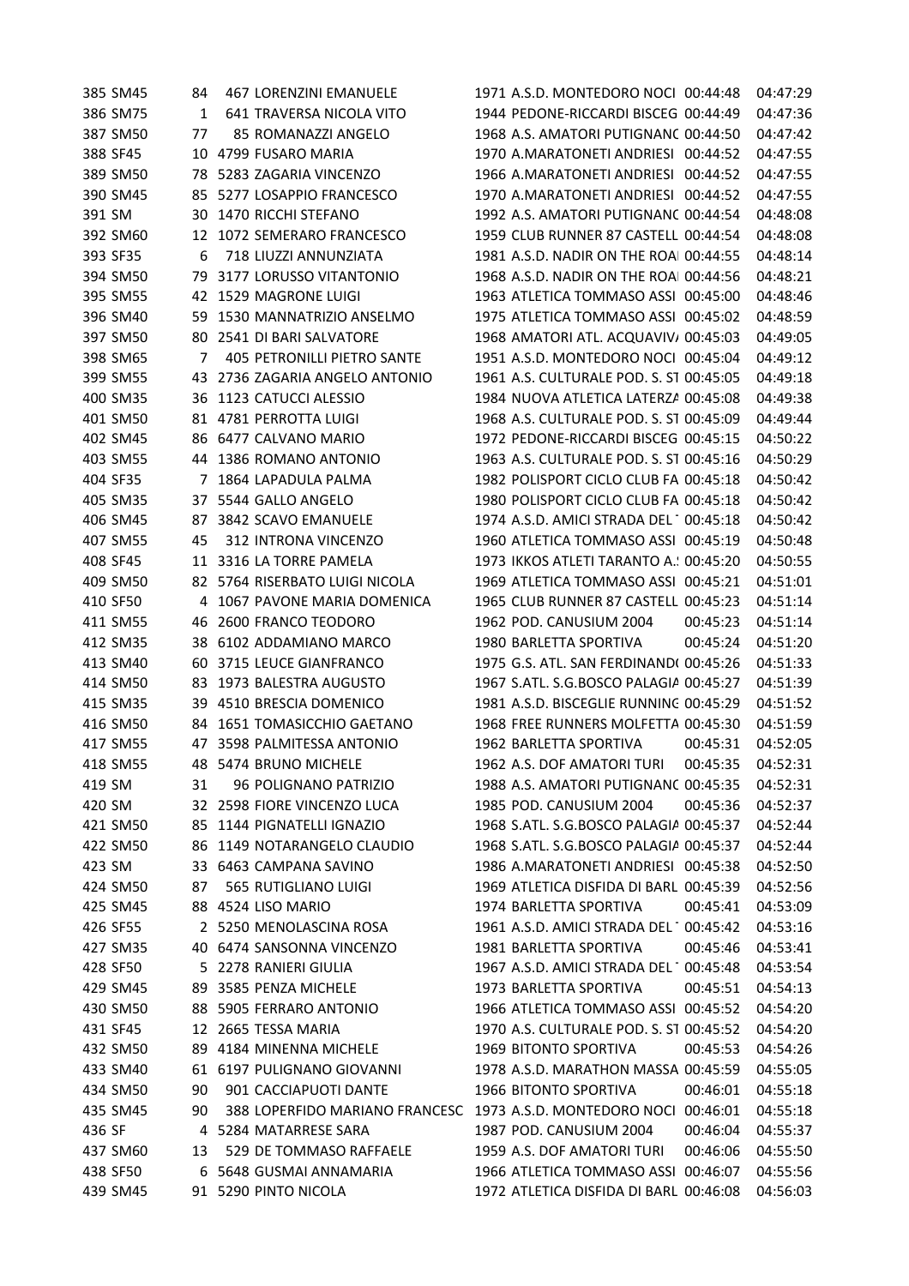385 SM45 84 467 LORENZINI EMANUELE 1971 A.S.D. MONTEDORO NOCI 00:44:48 04:47:29 386 SM75 1 641 TRAVERSA NICOLA VITO 1944 PEDONE-RICCARDI BISCEG 00:44:49 04:47:36 387 SM50 77 85 ROMANAZZI ANGELO 1968 A.S. AMATORI PUTIGNANO00:44:50 04:47:42 388 SF45 10 4799 FUSARO MARIA 1970 A.MARATONETI ANDRIESI 00:44:52 04:47:55 389 SM50 78 5283 ZAGARIA VINCENZO 1966 A.MARATONETI ANDRIESI 00:44:52 04:47:55 390 SM45 85 5277 LOSAPPIO FRANCESCO 1970 A.MARATONETI ANDRIESI 00:44:52 04:47:55 391 SM 30 1470 RICCHI STEFANO 1992 A.S. AMATORI PUTIGNANO00:44:54 04:48:08 392 SM60 12 1072 SEMERARO FRANCESCO 1959 CLUB RUNNER 87 CASTELL 00:44:54 04:48:08 393 SF35 6 718 LIUZZI ANNUNZIATA 1981 A.S.D. NADIR ON THE ROAI 00:44:55 04:48:14 394 SM50 79 3177 LORUSSO VITANTONIO 1968 A.S.D. NADIR ON THE ROAI 00:44:56 04:48:21 395 SM55 42 1529 MAGRONE LUIGI 1963 ATLETICA TOMMASO ASSI 00:45:00 04:48:46 396 SM40 59 1530 MANNATRIZIO ANSELMO 1975 ATLETICA TOMMASO ASSI 00:45:02 04:48:59 397 SM50 80 2541 DI BARI SALVATORE 1968 AMATORI ATL. ACQUAVIVA00:45:03 04:49:05 398 SM65 7 405 PETRONILLI PIETRO SANTE 1951 A.S.D. MONTEDORO NOCI 00:45:04 04:49:12 399 SM55 43 2736 ZAGARIA ANGELO ANTONIO 1961 A.S. CULTURALE POD. S. ST 00:45:05 04:49:18 400 SM35 36 1123 CATUCCI ALESSIO 1984 NUOVA ATLETICA LATERZA 00:45:08 04:49:38 401 SM50 81 4781 PERROTTA LUIGI 1968 A.S. CULTURALE POD. S. ST 00:45:09 04:49:44 402 SM45 86 6477 CALVANO MARIO 1972 PEDONE-RICCARDI BISCEGLIE00:45:15 04:50:22 403 SM55 44 1386 ROMANO ANTONIO 1963 A.S. CULTURALE POD. S. ST 00:45:16 04:50:29 404 SF35 7 1864 LAPADULA PALMA 1982 POLISPORT CICLO CLUB FASANO 00:45:18 04:50:42 405 SM35 37 5544 GALLO ANGELO 1980 POLISPORT CICLO CLUB FA 00:45:18 04:50:42 406 SM45 87 3842 SCAVO EMANUELE 1974 A.S.D. AMICI STRADA DEL 100:45:18 04:50:42 407 SM55 45 312 INTRONA VINCENZO 1960 ATLETICA TOMMASO ASSI 00:45:19 04:50:48 408 SF45 11 3316 LA TORRE PAMELA 1973 IKKOS ATLETI TARANTO A.S.D. 00:45:20 04:50:55 409 SM50 82 5764 RISERBATO LUIGI NICOLA 1969 ATLETICA TOMMASO ASSI 00:45:21 04:51:01 410 SF50 4 1067 PAVONE MARIA DOMENICA 1965 CLUB RUNNER 87 CASTELL 00:45:23 04:51:14 411 SM55 46 2600 FRANCO TEODORO 1962 POD. CANUSIUM 2004 00:45:23 04:51:14 412 SM35 38 6102 ADDAMIANO MARCO 1980 BARLETTA SPORTIVA 00:45:24 04:51:20 413 SM40 60 3715 LEUCE GIANFRANCO 1975 G.S. ATL. SAN FERDINAND( 00:45:26 04:51:33 414 SM50 83 1973 BALESTRA AUGUSTO 1967 S.ATL. S.G.BOSCO PALAGIANELLO 00:45:27 04:51:39 415 SM35 39 4510 BRESCIA DOMENICO 1981 A.S.D. BISCEGLIE RUNNING 00:45:29 04:51:52 416 SM50 84 1651 TOMASICCHIO GAETANO 1968 FREE RUNNERS MOLFETTA 00:45:30 04:51:59 417 SM55 47 3598 PALMITESSA ANTONIO 1962 BARLETTA SPORTIVA 00:45:31 04:52:05 418 SM55 48 5474 BRUNO MICHELE 1962 A.S. DOF AMATORI TURI 00:45:35 04:52:31 419 SM 31 96 POLIGNANO PATRIZIO 1988 A.S. AMATORI PUTIGNANO00:45:35 04:52:31 420 SM 32 2598 FIORE VINCENZO LUCA 1985 POD. CANUSIUM 2004 00:45:36 04:52:37 421 SM50 85 1144 PIGNATELLI IGNAZIO 1968 S.ATL. S.G.BOSCO PALAGIA 00:45:37 04:52:44 422 SM50 86 1149 NOTARANGELO CLAUDIO 1968 S.ATL. S.G.BOSCO PALAGIA 00:45:37 04:52:44 423 SM 33 6463 CAMPANA SAVINO 1986 A.MARATONETI ANDRIESI 00:45:38 04:52:50 424 SM50 87 565 RUTIGLIANO LUIGI 1969 ATLETICA DISFIDA DI BARLETTA 00:45:39 04:52:56 425 SM45 88 4524 LISO MARIO 1974 BARLETTA SPORTIVA 00:45:41 04:53:09 426 SF55 25250 MENOLASCINA ROSA 1961 A.S.D. AMICI STRADA DEL 1 00:45:42 04:53:16 427 SM35 40 6474 SANSONNA VINCENZO 1981 BARLETTA SPORTIVA 00:45:46 04:53:41 428 SF50 5 2278 RANIERI GIULIA 1967 A.S.D. AMICI STRADA DEL TESORO 00:45:48 04:53:54 429 SM45 89 3585 PENZA MICHELE 1973 BARLETTA SPORTIVA 00:45:51 04:54:13 430 SM50 88 5905 FERRARO ANTONIO 1966 ATLETICA TOMMASO ASSI 00:45:52 04:54:20 431 SF45 12 2665 TESSA MARIA 1970 A.S. CULTURALE POD. S. ST 00:45:52 04:54:20 432 SM50 89 4184 MINENNA MICHELE 1969 BITONTO SPORTIVA 00:45:53 04:54:26 433 SM40 61 6197 PULIGNANO GIOVANNI 1978 A.S.D. MARATHON MASSA 00:45:59 04:55:05 434 SM50 90 901 CACCIAPUOTI DANTE 1966 BITONTO SPORTIVA 00:46:01 04:55:18 435 SM45 90 388 LOPERFIDO MARIANO FRANCESC 1973 A.S.D. MONTEDORO NOCI 00:46:01 04:55:18 436 SF 4 5284 MATARRESE SARA 1987 POD. CANUSIUM 2004 00:46:04 04:55:37 437 SM60 13 529 DE TOMMASO RAFFAELE 1959 A.S. DOF AMATORI TURI 00:46:06 04:55:50 438 SF50 6 5648 GUSMAI ANNAMARIA 1966 ATLETICA TOMMASO ASSI TRANI 00:46:07 04:55:56 439 SM45 91 5290 PINTO NICOLA 1972 ATLETICA DISFIDA DI BARLI 00:46:08 04:56:03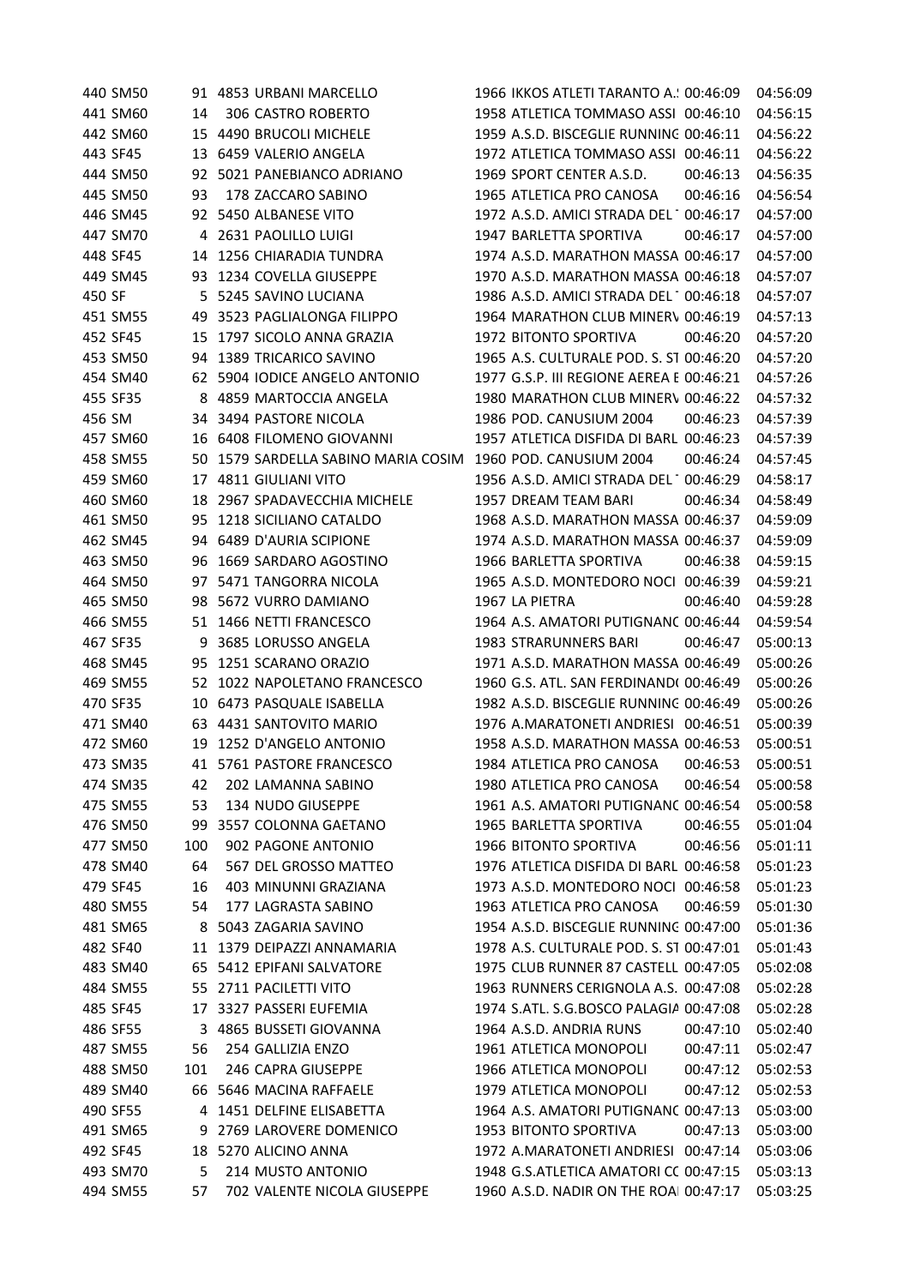| 440 SM50 |     | 91 4853 URBANI MARCELLO          | 1966 IKKOS ATLETI TARANTO A.: 00:46:09   |          | 04:56:09 |
|----------|-----|----------------------------------|------------------------------------------|----------|----------|
| 441 SM60 | 14  | 306 CASTRO ROBERTO               | 1958 ATLETICA TOMMASO ASSI 00:46:10      |          | 04:56:15 |
| 442 SM60 |     | 15 4490 BRUCOLI MICHELE          | 1959 A.S.D. BISCEGLIE RUNNING 00:46:11   |          | 04:56:22 |
| 443 SF45 |     | 13 6459 VALERIO ANGELA           | 1972 ATLETICA TOMMASO ASSI 00:46:11      |          | 04:56:22 |
| 444 SM50 |     | 92 5021 PANEBIANCO ADRIANO       | 1969 SPORT CENTER A.S.D.                 | 00:46:13 | 04:56:35 |
| 445 SM50 | 93  | 178 ZACCARO SABINO               | 1965 ATLETICA PRO CANOSA                 | 00:46:16 | 04:56:54 |
| 446 SM45 |     | 92 5450 ALBANESE VITO            | 1972 A.S.D. AMICI STRADA DEL 100:46:17   |          | 04:57:00 |
| 447 SM70 | 4   | 2631 PAOLILLO LUIGI              | 1947 BARLETTA SPORTIVA                   | 00:46:17 | 04:57:00 |
| 448 SF45 | 14  | 1256 CHIARADIA TUNDRA            | 1974 A.S.D. MARATHON MASSA 00:46:17      |          | 04:57:00 |
| 449 SM45 |     | 93 1234 COVELLA GIUSEPPE         | 1970 A.S.D. MARATHON MASSA 00:46:18      |          | 04:57:07 |
| 450 SF   |     | 5 5245 SAVINO LUCIANA            | 1986 A.S.D. AMICI STRADA DEL 100:46:18   |          | 04:57:07 |
| 451 SM55 |     | 49 3523 PAGLIALONGA FILIPPO      | 1964 MARATHON CLUB MINERV 00:46:19       |          | 04:57:13 |
| 452 SF45 |     | 15 1797 SICOLO ANNA GRAZIA       | 1972 BITONTO SPORTIVA                    | 00:46:20 | 04:57:20 |
| 453 SM50 |     | 94 1389 TRICARICO SAVINO         | 1965 A.S. CULTURALE POD. S. ST 00:46:20  |          | 04:57:20 |
| 454 SM40 |     | 62 5904 IODICE ANGELO ANTONIO    | 1977 G.S.P. III REGIONE AEREA E 00:46:21 |          | 04:57:26 |
| 455 SF35 | 8   | 4859 MARTOCCIA ANGELA            | 1980 MARATHON CLUB MINERV 00:46:22       |          | 04:57:32 |
| 456 SM   |     | 34 3494 PASTORE NICOLA           | 1986 POD. CANUSIUM 2004                  | 00:46:23 | 04:57:39 |
| 457 SM60 | 16  | 6408 FILOMENO GIOVANNI           | 1957 ATLETICA DISFIDA DI BARL 00:46:23   |          | 04:57:39 |
| 458 SM55 | 50  | 1579 SARDELLA SABINO MARIA COSIM | 1960 POD. CANUSIUM 2004                  | 00:46:24 | 04:57:45 |
| 459 SM60 |     | 17 4811 GIULIANI VITO            | 1956 A.S.D. AMICI STRADA DEL 100:46:29   |          | 04:58:17 |
| 460 SM60 | 18  | 2967 SPADAVECCHIA MICHELE        | 1957 DREAM TEAM BARI                     | 00:46:34 | 04:58:49 |
| 461 SM50 | 95  | 1218 SICILIANO CATALDO           | 1968 A.S.D. MARATHON MASSA 00:46:37      |          | 04:59:09 |
| 462 SM45 |     | 94 6489 D'AURIA SCIPIONE         | 1974 A.S.D. MARATHON MASSA 00:46:37      |          | 04:59:09 |
| 463 SM50 | 96  | 1669 SARDARO AGOSTINO            | 1966 BARLETTA SPORTIVA                   | 00:46:38 | 04:59:15 |
| 464 SM50 | 97  | 5471 TANGORRA NICOLA             | 1965 A.S.D. MONTEDORO NOCI 00:46:39      |          | 04:59:21 |
| 465 SM50 | 98  | 5672 VURRO DAMIANO               | 1967 LA PIETRA                           | 00:46:40 | 04:59:28 |
| 466 SM55 |     | 51 1466 NETTI FRANCESCO          | 1964 A.S. AMATORI PUTIGNANC 00:46:44     |          | 04:59:54 |
| 467 SF35 | 9   | 3685 LORUSSO ANGELA              | 1983 STRARUNNERS BARI                    | 00:46:47 | 05:00:13 |
| 468 SM45 | 95  | 1251 SCARANO ORAZIO              | 1971 A.S.D. MARATHON MASSA 00:46:49      |          | 05:00:26 |
| 469 SM55 |     | 52 1022 NAPOLETANO FRANCESCO     | 1960 G.S. ATL. SAN FERDINAND( 00:46:49   |          | 05:00:26 |
| 470 SF35 |     | 10 6473 PASQUALE ISABELLA        | 1982 A.S.D. BISCEGLIE RUNNING 00:46:49   |          | 05:00:26 |
| 471 SM40 |     | 63 4431 SANTOVITO MARIO          | 1976 A.MARATONETI ANDRIESI 00:46:51      |          | 05:00:39 |
| 472 SM60 |     | 19 1252 D'ANGELO ANTONIO         | 1958 A.S.D. MARATHON MASSA 00:46:53      |          | 05:00:51 |
| 473 SM35 |     | 41 5761 PASTORE FRANCESCO        | 1984 ATLETICA PRO CANOSA                 | 00:46:53 | 05:00:51 |
| 474 SM35 | 42  | 202 LAMANNA SABINO               | 1980 ATLETICA PRO CANOSA                 | 00:46:54 | 05:00:58 |
| 475 SM55 | 53  | 134 NUDO GIUSEPPE                | 1961 A.S. AMATORI PUTIGNANC 00:46:54     |          | 05:00:58 |
| 476 SM50 |     | 99 3557 COLONNA GAETANO          | 1965 BARLETTA SPORTIVA                   | 00:46:55 | 05:01:04 |
| 477 SM50 | 100 | 902 PAGONE ANTONIO               | 1966 BITONTO SPORTIVA                    | 00:46:56 | 05:01:11 |
| 478 SM40 | 64  | 567 DEL GROSSO MATTEO            | 1976 ATLETICA DISFIDA DI BARLI 00:46:58  |          | 05:01:23 |
| 479 SF45 | 16  | 403 MINUNNI GRAZIANA             | 1973 A.S.D. MONTEDORO NOCI 00:46:58      |          | 05:01:23 |
| 480 SM55 | 54  | 177 LAGRASTA SABINO              | 1963 ATLETICA PRO CANOSA                 | 00:46:59 | 05:01:30 |
| 481 SM65 | 8   | 5043 ZAGARIA SAVINO              | 1954 A.S.D. BISCEGLIE RUNNING 00:47:00   |          | 05:01:36 |
| 482 SF40 |     | 11 1379 DEIPAZZI ANNAMARIA       | 1978 A.S. CULTURALE POD. S. ST 00:47:01  |          | 05:01:43 |
| 483 SM40 |     | 65 5412 EPIFANI SALVATORE        | 1975 CLUB RUNNER 87 CASTELL 00:47:05     |          | 05:02:08 |
| 484 SM55 |     | 55 2711 PACILETTI VITO           | 1963 RUNNERS CERIGNOLA A.S. 00:47:08     |          | 05:02:28 |
| 485 SF45 |     | 17 3327 PASSERI EUFEMIA          | 1974 S.ATL. S.G.BOSCO PALAGIA 00:47:08   |          | 05:02:28 |
| 486 SF55 |     | 3 4865 BUSSETI GIOVANNA          | 1964 A.S.D. ANDRIA RUNS                  | 00:47:10 | 05:02:40 |
| 487 SM55 | 56  | 254 GALLIZIA ENZO                | 1961 ATLETICA MONOPOLI                   | 00:47:11 | 05:02:47 |
| 488 SM50 | 101 | 246 CAPRA GIUSEPPE               | 1966 ATLETICA MONOPOLI                   | 00:47:12 | 05:02:53 |
| 489 SM40 | 66  | 5646 MACINA RAFFAELE             | 1979 ATLETICA MONOPOLI                   | 00:47:12 | 05:02:53 |
| 490 SF55 | 4   | 1451 DELFINE ELISABETTA          | 1964 A.S. AMATORI PUTIGNANC 00:47:13     |          | 05:03:00 |
| 491 SM65 | 9   | 2769 LAROVERE DOMENICO           | 1953 BITONTO SPORTIVA                    | 00:47:13 | 05:03:00 |
| 492 SF45 |     | 18 5270 ALICINO ANNA             | 1972 A.MARATONETI ANDRIESI 00:47:14      |          | 05:03:06 |
| 493 SM70 | 5   | 214 MUSTO ANTONIO                | 1948 G.S.ATLETICA AMATORI CC 00:47:15    |          | 05:03:13 |
| 494 SM55 | 57  | 702 VALENTE NICOLA GIUSEPPE      | 1960 A.S.D. NADIR ON THE ROAI 00:47:17   |          | 05:03:25 |
|          |     |                                  |                                          |          |          |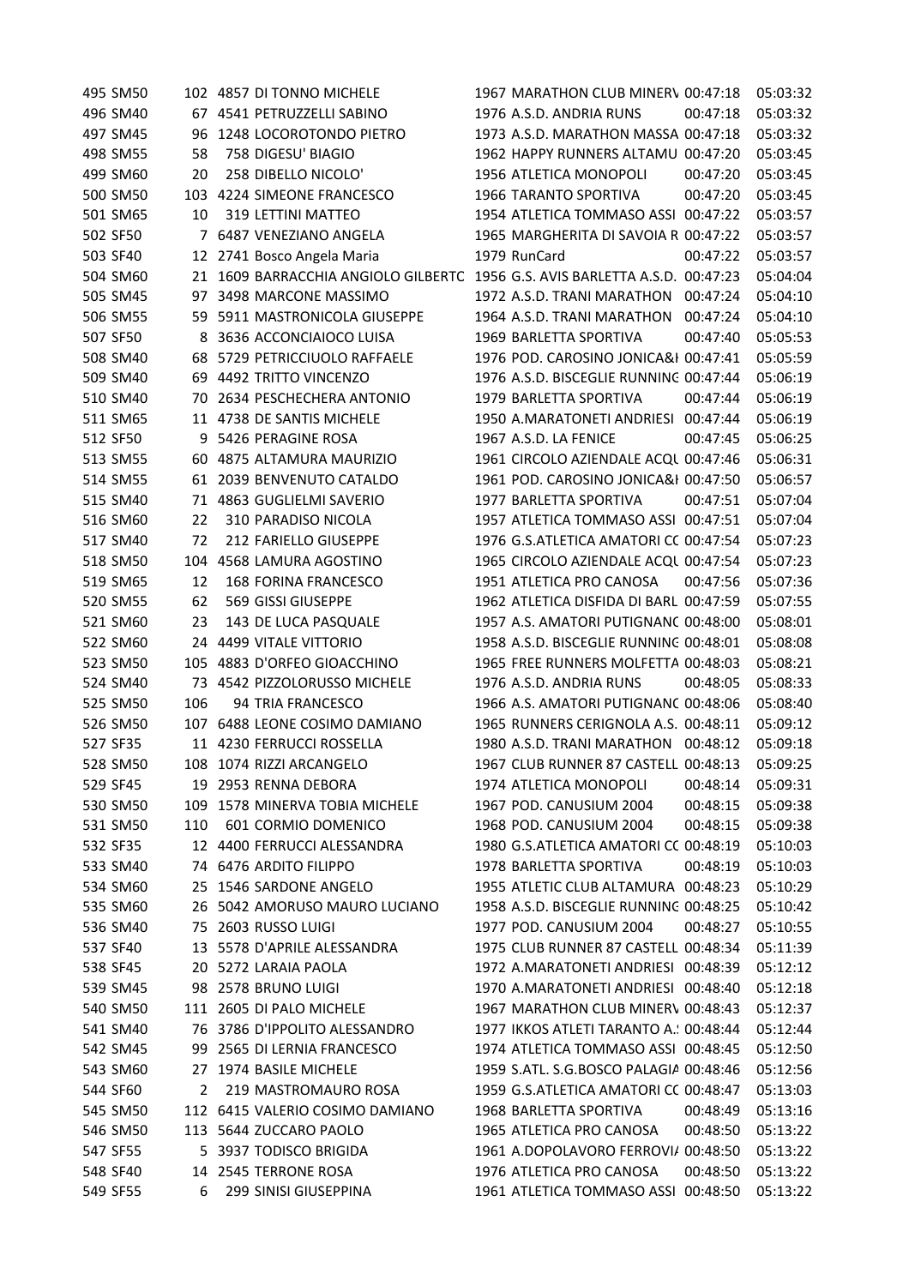| 495 SM50 |     | 102 4857 DI TONNO MICHELE        | 1967 MARATHON CLUB MINERV 00:47:18      |          | 05:03:32 |
|----------|-----|----------------------------------|-----------------------------------------|----------|----------|
| 496 SM40 |     | 67 4541 PETRUZZELLI SABINO       | 1976 A.S.D. ANDRIA RUNS                 | 00:47:18 | 05:03:32 |
| 497 SM45 | 96  | 1248 LOCOROTONDO PIETRO          | 1973 A.S.D. MARATHON MASSA 00:47:18     |          | 05:03:32 |
| 498 SM55 | 58  | 758 DIGESU' BIAGIO               | 1962 HAPPY RUNNERS ALTAMU 00:47:20      |          | 05:03:45 |
| 499 SM60 | 20  | 258 DIBELLO NICOLO'              | 1956 ATLETICA MONOPOLI                  | 00:47:20 | 05:03:45 |
| 500 SM50 |     | 103 4224 SIMEONE FRANCESCO       | 1966 TARANTO SPORTIVA                   | 00:47:20 | 05:03:45 |
| 501 SM65 | 10  | 319 LETTINI MATTEO               | 1954 ATLETICA TOMMASO ASSI 00:47:22     |          | 05:03:57 |
| 502 SF50 |     | 7 6487 VENEZIANO ANGELA          | 1965 MARGHERITA DI SAVOIA R 00:47:22    |          | 05:03:57 |
| 503 SF40 |     | 12 2741 Bosco Angela Maria       | 1979 RunCard                            | 00:47:22 | 05:03:57 |
| 504 SM60 | 21  | 1609 BARRACCHIA ANGIOLO GILBERTC | 1956 G.S. AVIS BARLETTA A.S.D. 00:47:23 |          | 05:04:04 |
| 505 SM45 | 97  | 3498 MARCONE MASSIMO             | 1972 A.S.D. TRANI MARATHON 00:47:24     |          | 05:04:10 |
| 506 SM55 |     | 59 5911 MASTRONICOLA GIUSEPPE    | 1964 A.S.D. TRANI MARATHON              | 00:47:24 | 05:04:10 |
| 507 SF50 |     | 8 3636 ACCONCIAIOCO LUISA        | 1969 BARLETTA SPORTIVA                  | 00:47:40 | 05:05:53 |
| 508 SM40 |     | 68 5729 PETRICCIUOLO RAFFAELE    | 1976 POD. CAROSINO JONICA&I 00:47:41    |          | 05:05:59 |
| 509 SM40 |     | 69 4492 TRITTO VINCENZO          | 1976 A.S.D. BISCEGLIE RUNNING 00:47:44  |          | 05:06:19 |
| 510 SM40 | 70  | 2634 PESCHECHERA ANTONIO         | 1979 BARLETTA SPORTIVA                  | 00:47:44 | 05:06:19 |
| 511 SM65 | 11  | 4738 DE SANTIS MICHELE           | 1950 A.MARATONETI ANDRIESI 00:47:44     |          | 05:06:19 |
| 512 SF50 | 9   | 5426 PERAGINE ROSA               | 1967 A.S.D. LA FENICE                   | 00:47:45 | 05:06:25 |
| 513 SM55 | 60  | 4875 ALTAMURA MAURIZIO           | 1961 CIRCOLO AZIENDALE ACQL 00:47:46    |          | 05:06:31 |
| 514 SM55 | 61  | 2039 BENVENUTO CATALDO           | 1961 POD. CAROSINO JONICA&I 00:47:50    |          | 05:06:57 |
| 515 SM40 | 71  | 4863 GUGLIELMI SAVERIO           | 1977 BARLETTA SPORTIVA                  | 00:47:51 | 05:07:04 |
| 516 SM60 | 22  | 310 PARADISO NICOLA              | 1957 ATLETICA TOMMASO ASSI 00:47:51     |          | 05:07:04 |
| 517 SM40 | 72  | 212 FARIELLO GIUSEPPE            | 1976 G.S.ATLETICA AMATORI CC 00:47:54   |          | 05:07:23 |
| 518 SM50 |     | 104 4568 LAMURA AGOSTINO         | 1965 CIRCOLO AZIENDALE ACQL 00:47:54    |          | 05:07:23 |
| 519 SM65 | 12  | 168 FORINA FRANCESCO             | 1951 ATLETICA PRO CANOSA                | 00:47:56 | 05:07:36 |
| 520 SM55 | 62  | 569 GISSI GIUSEPPE               | 1962 ATLETICA DISFIDA DI BARL 00:47:59  |          | 05:07:55 |
| 521 SM60 | 23  | 143 DE LUCA PASQUALE             | 1957 A.S. AMATORI PUTIGNANC 00:48:00    |          | 05:08:01 |
| 522 SM60 |     | 24 4499 VITALE VITTORIO          | 1958 A.S.D. BISCEGLIE RUNNING 00:48:01  |          | 05:08:08 |
| 523 SM50 |     | 105 4883 D'ORFEO GIOACCHINO      | 1965 FREE RUNNERS MOLFETTA 00:48:03     |          | 05:08:21 |
| 524 SM40 | 73  | 4542 PIZZOLORUSSO MICHELE        | 1976 A.S.D. ANDRIA RUNS                 | 00:48:05 | 05:08:33 |
| 525 SM50 | 106 | 94 TRIA FRANCESCO                | 1966 A.S. AMATORI PUTIGNANC 00:48:06    |          | 05:08:40 |
| 526 SM50 |     | 107 6488 LEONE COSIMO DAMIANO    | 1965 RUNNERS CERIGNOLA A.S. 00:48:11    |          | 05:09:12 |
| 527 SF35 |     | 11 4230 FERRUCCI ROSSELLA        | 1980 A.S.D. TRANI MARATHON 00:48:12     |          | 05:09:18 |
| 528 SM50 |     | 108 1074 RIZZI ARCANGELO         | 1967 CLUB RUNNER 87 CASTELL 00:48:13    |          | 05:09:25 |
| 529 SF45 |     | 19 2953 RENNA DEBORA             | 1974 ATLETICA MONOPOLI                  | 00:48:14 | 05:09:31 |
| 530 SM50 |     | 109 1578 MINERVA TOBIA MICHELE   | 1967 POD. CANUSIUM 2004                 | 00:48:15 | 05:09:38 |
| 531 SM50 | 110 | 601 CORMIO DOMENICO              | 1968 POD. CANUSIUM 2004                 | 00:48:15 | 05:09:38 |
| 532 SF35 |     | 12 4400 FERRUCCI ALESSANDRA      | 1980 G.S.ATLETICA AMATORI CC 00:48:19   |          | 05:10:03 |
| 533 SM40 |     | 74 6476 ARDITO FILIPPO           | 1978 BARLETTA SPORTIVA                  | 00:48:19 | 05:10:03 |
| 534 SM60 | 25  | 1546 SARDONE ANGELO              | 1955 ATLETIC CLUB ALTAMURA 00:48:23     |          | 05:10:29 |
| 535 SM60 | 26  | 5042 AMORUSO MAURO LUCIANO       | 1958 A.S.D. BISCEGLIE RUNNING 00:48:25  |          | 05:10:42 |
| 536 SM40 | 75  | 2603 RUSSO LUIGI                 | 1977 POD. CANUSIUM 2004                 | 00:48:27 | 05:10:55 |
| 537 SF40 | 13  | 5578 D'APRILE ALESSANDRA         | 1975 CLUB RUNNER 87 CASTELL 00:48:34    |          | 05:11:39 |
| 538 SF45 | 20  | 5272 LARAIA PAOLA                | 1972 A.MARATONETI ANDRIESI 00:48:39     |          | 05:12:12 |
| 539 SM45 | 98  | 2578 BRUNO LUIGI                 | 1970 A.MARATONETI ANDRIESI 00:48:40     |          | 05:12:18 |
| 540 SM50 |     | 111 2605 DI PALO MICHELE         | 1967 MARATHON CLUB MINERV 00:48:43      |          | 05:12:37 |
| 541 SM40 |     | 76 3786 D'IPPOLITO ALESSANDRO    | 1977 IKKOS ATLETI TARANTO A. 100:48:44  |          | 05:12:44 |
| 542 SM45 | 99  | 2565 DI LERNIA FRANCESCO         | 1974 ATLETICA TOMMASO ASSI 00:48:45     |          | 05:12:50 |
| 543 SM60 |     | 27 1974 BASILE MICHELE           | 1959 S.ATL. S.G.BOSCO PALAGIA 00:48:46  |          | 05:12:56 |
| 544 SF60 | 2   | 219 MASTROMAURO ROSA             | 1959 G.S.ATLETICA AMATORI CC 00:48:47   |          | 05:13:03 |
| 545 SM50 |     | 112 6415 VALERIO COSIMO DAMIANO  | 1968 BARLETTA SPORTIVA                  | 00:48:49 | 05:13:16 |
| 546 SM50 |     | 113 5644 ZUCCARO PAOLO           | 1965 ATLETICA PRO CANOSA                | 00:48:50 | 05:13:22 |
| 547 SF55 |     | 5 3937 TODISCO BRIGIDA           | 1961 A.DOPOLAVORO FERROVI/ 00:48:50     |          | 05:13:22 |
| 548 SF40 |     | 14 2545 TERRONE ROSA             | 1976 ATLETICA PRO CANOSA                | 00:48:50 | 05:13:22 |
| 549 SF55 | 6   | 299 SINISI GIUSEPPINA            | 1961 ATLETICA TOMMASO ASSI 00:48:50     |          | 05:13:22 |
|          |     |                                  |                                         |          |          |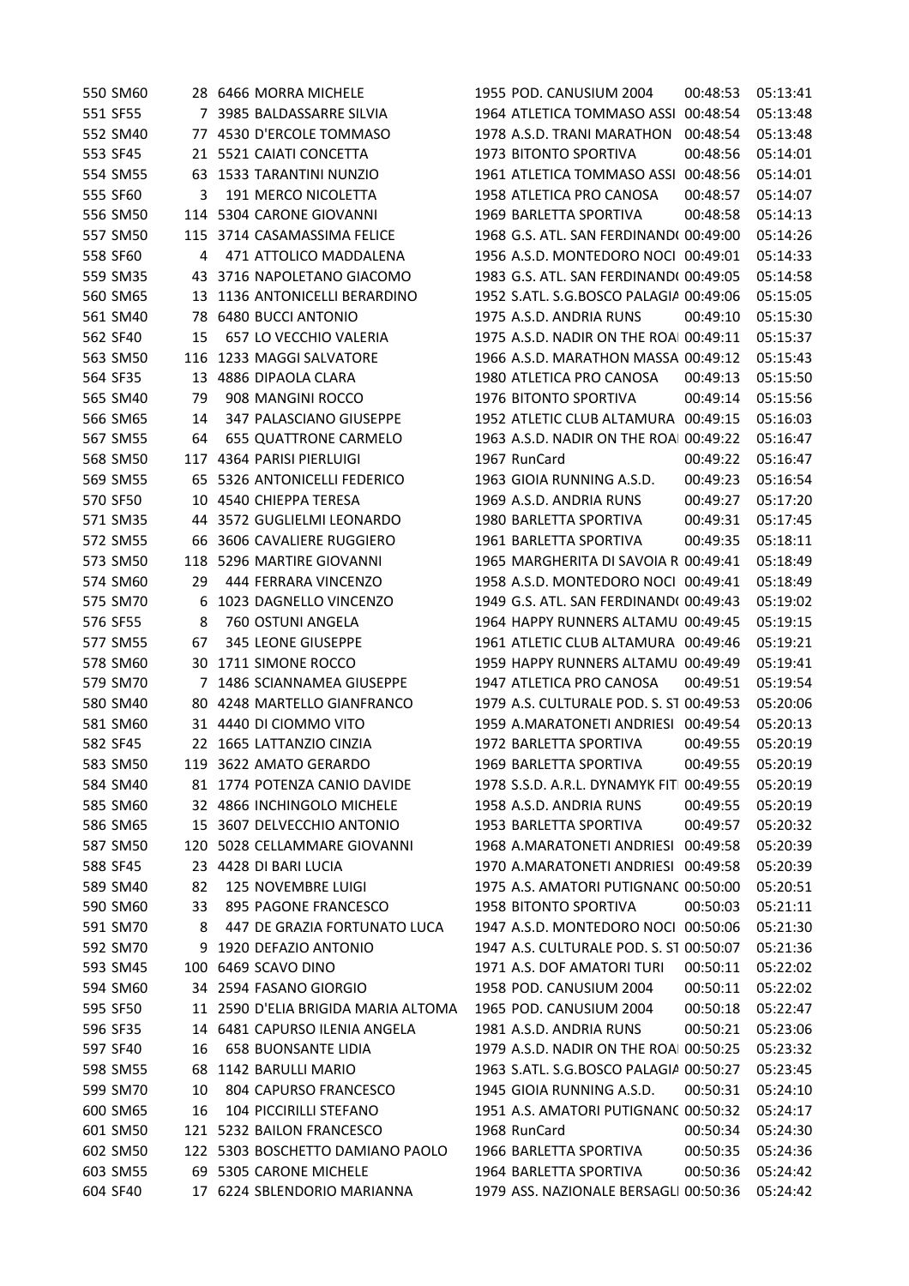| 550 SM60 |     | 28 6466 MORRA MICHELE               | 1955 POD. CANUSIUM 2004                 | 00:48:53 | 05:13:41 |
|----------|-----|-------------------------------------|-----------------------------------------|----------|----------|
| 551 SF55 |     | 7 3985 BALDASSARRE SILVIA           | 1964 ATLETICA TOMMASO ASSI 00:48:54     |          | 05:13:48 |
| 552 SM40 | 77  | 4530 D'ERCOLE TOMMASO               | 1978 A.S.D. TRANI MARATHON              | 00:48:54 | 05:13:48 |
| 553 SF45 |     | 21 5521 CAIATI CONCETTA             | 1973 BITONTO SPORTIVA                   | 00:48:56 | 05:14:01 |
| 554 SM55 |     | 63 1533 TARANTINI NUNZIO            | 1961 ATLETICA TOMMASO ASSI 00:48:56     |          | 05:14:01 |
| 555 SF60 | 3   | 191 MERCO NICOLETTA                 | 1958 ATLETICA PRO CANOSA                | 00:48:57 | 05:14:07 |
| 556 SM50 |     | 114 5304 CARONE GIOVANNI            | 1969 BARLETTA SPORTIVA                  | 00:48:58 | 05:14:13 |
| 557 SM50 |     | 115 3714 CASAMASSIMA FELICE         | 1968 G.S. ATL. SAN FERDINAND( 00:49:00  |          | 05:14:26 |
| 558 SF60 | 4   | 471 ATTOLICO MADDALENA              | 1956 A.S.D. MONTEDORO NOCI 00:49:01     |          | 05:14:33 |
| 559 SM35 | 43  | 3716 NAPOLETANO GIACOMO             | 1983 G.S. ATL. SAN FERDINAND( 00:49:05  |          | 05:14:58 |
| 560 SM65 | 13  | 1136 ANTONICELLI BERARDINO          | 1952 S.ATL. S.G.BOSCO PALAGIA 00:49:06  |          | 05:15:05 |
| 561 SM40 | 78  | <b>6480 BUCCI ANTONIO</b>           | 1975 A.S.D. ANDRIA RUNS                 | 00:49:10 | 05:15:30 |
| 562 SF40 | 15  | 657 LO VECCHIO VALERIA              | 1975 A.S.D. NADIR ON THE ROAI 00:49:11  |          | 05:15:37 |
| 563 SM50 | 116 | 1233 MAGGI SALVATORE                | 1966 A.S.D. MARATHON MASSA 00:49:12     |          | 05:15:43 |
| 564 SF35 | 13  | 4886 DIPAOLA CLARA                  | 1980 ATLETICA PRO CANOSA                | 00:49:13 | 05:15:50 |
| 565 SM40 | 79  | 908 MANGINI ROCCO                   | 1976 BITONTO SPORTIVA                   | 00:49:14 | 05:15:56 |
| 566 SM65 | 14  | 347 PALASCIANO GIUSEPPE             | 1952 ATLETIC CLUB ALTAMURA 00:49:15     |          | 05:16:03 |
| 567 SM55 | 64  | 655 QUATTRONE CARMELO               | 1963 A.S.D. NADIR ON THE ROAI 00:49:22  |          | 05:16:47 |
| 568 SM50 | 117 | 4364 PARISI PIERLUIGI               | 1967 RunCard                            | 00:49:22 | 05:16:47 |
| 569 SM55 | 65  | 5326 ANTONICELLI FEDERICO           | 1963 GIOIA RUNNING A.S.D.               | 00:49:23 | 05:16:54 |
| 570 SF50 |     | 10 4540 CHIEPPA TERESA              | 1969 A.S.D. ANDRIA RUNS                 | 00:49:27 | 05:17:20 |
| 571 SM35 | 44  | 3572 GUGLIELMI LEONARDO             | 1980 BARLETTA SPORTIVA                  | 00:49:31 | 05:17:45 |
| 572 SM55 | 66  | 3606 CAVALIERE RUGGIERO             | 1961 BARLETTA SPORTIVA                  | 00:49:35 | 05:18:11 |
| 573 SM50 | 118 | 5296 MARTIRE GIOVANNI               | 1965 MARGHERITA DI SAVOIA R 00:49:41    |          | 05:18:49 |
| 574 SM60 | 29  | 444 FERRARA VINCENZO                | 1958 A.S.D. MONTEDORO NOCI 00:49:41     |          | 05:18:49 |
| 575 SM70 | 6   | 1023 DAGNELLO VINCENZO              | 1949 G.S. ATL. SAN FERDINAND( 00:49:43  |          | 05:19:02 |
| 576 SF55 | 8   | 760 OSTUNI ANGELA                   | 1964 HAPPY RUNNERS ALTAMU 00:49:45      |          | 05:19:15 |
| 577 SM55 | 67  | 345 LEONE GIUSEPPE                  | 1961 ATLETIC CLUB ALTAMURA 00:49:46     |          | 05:19:21 |
| 578 SM60 | 30  | 1711 SIMONE ROCCO                   | 1959 HAPPY RUNNERS ALTAMU 00:49:49      |          | 05:19:41 |
| 579 SM70 | 7   | 1486 SCIANNAMEA GIUSEPPE            | 1947 ATLETICA PRO CANOSA                | 00:49:51 | 05:19:54 |
| 580 SM40 |     | 80 4248 MARTELLO GIANFRANCO         | 1979 A.S. CULTURALE POD. S. ST 00:49:53 |          | 05:20:06 |
| 581 SM60 |     | 31 4440 DI CIOMMO VITO              | 1959 A.MARATONETI ANDRIESI 00:49:54     |          | 05:20:13 |
| 582 SF45 | 22  | 1665 LATTANZIO CINZIA               | 1972 BARLETTA SPORTIVA                  | 00:49:55 | 05:20:19 |
| 583 SM50 |     | 119 3622 AMATO GERARDO              | 1969 BARLETTA SPORTIVA                  | 00:49:55 | 05:20:19 |
| 584 SM40 |     | 81 1774 POTENZA CANIO DAVIDE        | 1978 S.S.D. A.R.L. DYNAMYK FIT 00:49:55 |          | 05:20:19 |
| 585 SM60 |     | 32 4866 INCHINGOLO MICHELE          | 1958 A.S.D. ANDRIA RUNS                 | 00:49:55 | 05:20:19 |
| 586 SM65 |     | 15 3607 DELVECCHIO ANTONIO          | 1953 BARLETTA SPORTIVA                  | 00:49:57 | 05:20:32 |
| 587 SM50 |     | 120 5028 CELLAMMARE GIOVANNI        | 1968 A.MARATONETI ANDRIESI 00:49:58     |          | 05:20:39 |
| 588 SF45 | 23  | 4428 DI BARI LUCIA                  | 1970 A.MARATONETI ANDRIESI 00:49:58     |          | 05:20:39 |
| 589 SM40 | 82  | <b>125 NOVEMBRE LUIGI</b>           | 1975 A.S. AMATORI PUTIGNANC 00:50:00    |          | 05:20:51 |
| 590 SM60 | 33  | 895 PAGONE FRANCESCO                | 1958 BITONTO SPORTIVA                   | 00:50:03 | 05:21:11 |
| 591 SM70 | 8   | 447 DE GRAZIA FORTUNATO LUCA        | 1947 A.S.D. MONTEDORO NOCI 00:50:06     |          | 05:21:30 |
| 592 SM70 | 9   | 1920 DEFAZIO ANTONIO                | 1947 A.S. CULTURALE POD. S. ST 00:50:07 |          | 05:21:36 |
| 593 SM45 |     | 100 6469 SCAVO DINO                 | 1971 A.S. DOF AMATORI TURI              | 00:50:11 | 05:22:02 |
| 594 SM60 |     | 34 2594 FASANO GIORGIO              | 1958 POD. CANUSIUM 2004                 | 00:50:11 | 05:22:02 |
| 595 SF50 |     | 11 2590 D'ELIA BRIGIDA MARIA ALTOMA | 1965 POD. CANUSIUM 2004                 | 00:50:18 | 05:22:47 |
| 596 SF35 |     | 14 6481 CAPURSO ILENIA ANGELA       | 1981 A.S.D. ANDRIA RUNS                 | 00:50:21 | 05:23:06 |
| 597 SF40 | 16  | <b>658 BUONSANTE LIDIA</b>          | 1979 A.S.D. NADIR ON THE ROAI 00:50:25  |          | 05:23:32 |
| 598 SM55 | 68  | 1142 BARULLI MARIO                  | 1963 S.ATL. S.G.BOSCO PALAGIA 00:50:27  |          | 05:23:45 |
| 599 SM70 | 10  | 804 CAPURSO FRANCESCO               | 1945 GIOIA RUNNING A.S.D.               | 00:50:31 | 05:24:10 |
| 600 SM65 | 16  | 104 PICCIRILLI STEFANO              | 1951 A.S. AMATORI PUTIGNANC 00:50:32    |          | 05:24:17 |
| 601 SM50 |     | 121 5232 BAILON FRANCESCO           | 1968 RunCard                            | 00:50:34 | 05:24:30 |
| 602 SM50 |     | 122 5303 BOSCHETTO DAMIANO PAOLO    | 1966 BARLETTA SPORTIVA                  | 00:50:35 | 05:24:36 |
| 603 SM55 |     | 69 5305 CARONE MICHELE              | 1964 BARLETTA SPORTIVA                  | 00:50:36 | 05:24:42 |
| 604 SF40 |     | 17 6224 SBLENDORIO MARIANNA         | 1979 ASS. NAZIONALE BERSAGLI 00:50:36   |          | 05:24:42 |
|          |     |                                     |                                         |          |          |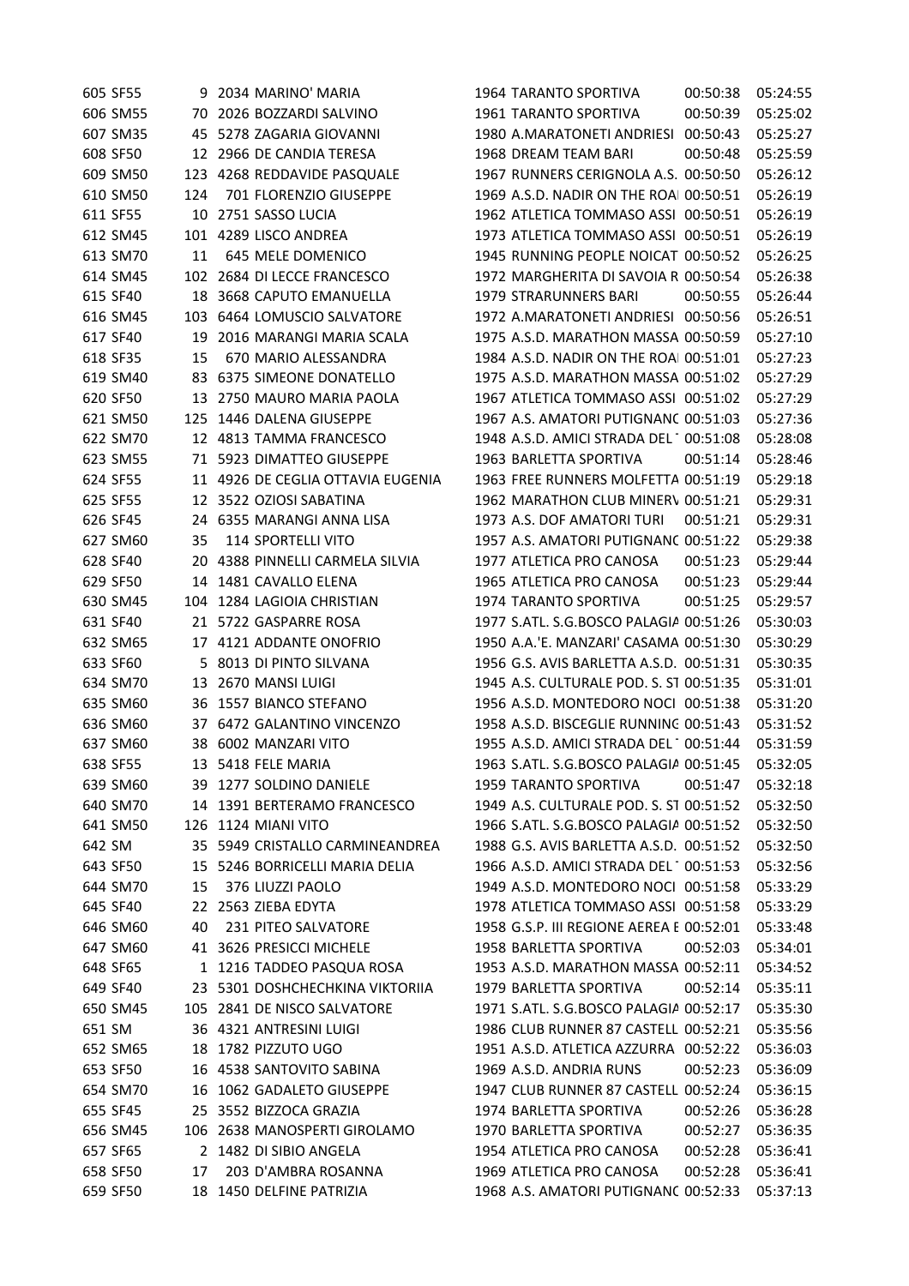|        | 605 SF55 |     | 9 2034 MARINO' MARIA              | 1964 TARANTO SPORTIVA                    | 00:50:38 | 05:24:55 |
|--------|----------|-----|-----------------------------------|------------------------------------------|----------|----------|
|        | 606 SM55 |     | 70 2026 BOZZARDI SALVINO          | <b>1961 TARANTO SPORTIVA</b>             | 00:50:39 | 05:25:02 |
|        | 607 SM35 |     | 45 5278 ZAGARIA GIOVANNI          | 1980 A.MARATONETI ANDRIESI 00:50:43      |          | 05:25:27 |
|        | 608 SF50 |     | 12 2966 DE CANDIA TERESA          | 1968 DREAM TEAM BARI                     | 00:50:48 | 05:25:59 |
|        | 609 SM50 |     | 123 4268 REDDAVIDE PASQUALE       | 1967 RUNNERS CERIGNOLA A.S. 00:50:50     |          | 05:26:12 |
|        | 610 SM50 | 124 | 701 FLORENZIO GIUSEPPE            | 1969 A.S.D. NADIR ON THE ROAI 00:50:51   |          | 05:26:19 |
|        | 611 SF55 |     | 10 2751 SASSO LUCIA               | 1962 ATLETICA TOMMASO ASSI 00:50:51      |          | 05:26:19 |
|        | 612 SM45 |     | 101 4289 LISCO ANDREA             | 1973 ATLETICA TOMMASO ASSI 00:50:51      |          | 05:26:19 |
|        | 613 SM70 | 11  | 645 MELE DOMENICO                 | 1945 RUNNING PEOPLE NOICAT 00:50:52      |          | 05:26:25 |
|        | 614 SM45 | 102 | 2684 DI LECCE FRANCESCO           | 1972 MARGHERITA DI SAVOIA R 00:50:54     |          | 05:26:38 |
|        | 615 SF40 |     | 18 3668 CAPUTO EMANUELLA          | 1979 STRARUNNERS BARI                    | 00:50:55 | 05:26:44 |
|        | 616 SM45 |     | 103 6464 LOMUSCIO SALVATORE       | 1972 A.MARATONETI ANDRIESI 00:50:56      |          | 05:26:51 |
|        | 617 SF40 | 19  | 2016 MARANGI MARIA SCALA          | 1975 A.S.D. MARATHON MASSA 00:50:59      |          | 05:27:10 |
|        | 618 SF35 | 15  | 670 MARIO ALESSANDRA              | 1984 A.S.D. NADIR ON THE ROAI 00:51:01   |          | 05:27:23 |
|        | 619 SM40 |     | 83 6375 SIMEONE DONATELLO         | 1975 A.S.D. MARATHON MASSA 00:51:02      |          | 05:27:29 |
|        | 620 SF50 | 13  | 2750 MAURO MARIA PAOLA            | 1967 ATLETICA TOMMASO ASSI 00:51:02      |          | 05:27:29 |
|        | 621 SM50 | 125 | 1446 DALENA GIUSEPPE              | 1967 A.S. AMATORI PUTIGNANC 00:51:03     |          | 05:27:36 |
|        | 622 SM70 |     | 12 4813 TAMMA FRANCESCO           | 1948 A.S.D. AMICI STRADA DEL 1 00:51:08  |          | 05:28:08 |
|        | 623 SM55 | 71  | 5923 DIMATTEO GIUSEPPE            | 1963 BARLETTA SPORTIVA                   | 00:51:14 | 05:28:46 |
|        | 624 SF55 |     | 11 4926 DE CEGLIA OTTAVIA EUGENIA | 1963 FREE RUNNERS MOLFETTA 00:51:19      |          | 05:29:18 |
|        | 625 SF55 |     | 12 3522 OZIOSI SABATINA           | 1962 MARATHON CLUB MINERV 00:51:21       |          | 05:29:31 |
|        | 626 SF45 |     | 24 6355 MARANGI ANNA LISA         | 1973 A.S. DOF AMATORI TURI               | 00:51:21 | 05:29:31 |
|        | 627 SM60 | 35  | 114 SPORTELLI VITO                | 1957 A.S. AMATORI PUTIGNANC 00:51:22     |          | 05:29:38 |
|        | 628 SF40 |     | 20 4388 PINNELLI CARMELA SILVIA   | 1977 ATLETICA PRO CANOSA                 | 00:51:23 | 05:29:44 |
|        | 629 SF50 |     | 14 1481 CAVALLO ELENA             | 1965 ATLETICA PRO CANOSA                 | 00:51:23 | 05:29:44 |
|        | 630 SM45 | 104 | 1284 LAGIOIA CHRISTIAN            | 1974 TARANTO SPORTIVA                    | 00:51:25 | 05:29:57 |
|        | 631 SF40 | 21  | 5722 GASPARRE ROSA                | 1977 S.ATL. S.G.BOSCO PALAGIA 00:51:26   |          | 05:30:03 |
|        | 632 SM65 |     | 17 4121 ADDANTE ONOFRIO           | 1950 A.A.'E. MANZARI' CASAMA 00:51:30    |          | 05:30:29 |
|        | 633 SF60 |     | 5 8013 DI PINTO SILVANA           | 1956 G.S. AVIS BARLETTA A.S.D. 00:51:31  |          | 05:30:35 |
|        | 634 SM70 |     | 13 2670 MANSI LUIGI               | 1945 A.S. CULTURALE POD. S. ST 00:51:35  |          | 05:31:01 |
|        | 635 SM60 |     | 36 1557 BIANCO STEFANO            | 1956 A.S.D. MONTEDORO NOCI 00:51:38      |          | 05:31:20 |
|        | 636 SM60 |     | 37 6472 GALANTINO VINCENZO        | 1958 A.S.D. BISCEGLIE RUNNING 00:51:43   |          | 05:31:52 |
|        | 637 SM60 |     | 38 6002 MANZARI VITO              | 1955 A.S.D. AMICI STRADA DEL 1 00:51:44  |          | 05:31:59 |
|        | 638 SF55 |     | 13 5418 FELE MARIA                | 1963 S.ATL. S.G.BOSCO PALAGIA 00:51:45   |          | 05:32:05 |
|        | 639 SM60 |     | 39 1277 SOLDINO DANIELE           | <b>1959 TARANTO SPORTIVA</b>             | 00:51:47 | 05:32:18 |
|        | 640 SM70 |     | 14 1391 BERTERAMO FRANCESCO       | 1949 A.S. CULTURALE POD. S. ST 00:51:52  |          | 05:32:50 |
|        | 641 SM50 |     | 126 1124 MIANI VITO               | 1966 S.ATL. S.G.BOSCO PALAGIA 00:51:52   |          | 05:32:50 |
| 642 SM |          |     | 35 5949 CRISTALLO CARMINEANDREA   | 1988 G.S. AVIS BARLETTA A.S.D. 00:51:52  |          | 05:32:50 |
|        | 643 SF50 |     | 15 5246 BORRICELLI MARIA DELIA    | 1966 A.S.D. AMICI STRADA DEL 100:51:53   |          | 05:32:56 |
|        | 644 SM70 | 15  | 376 LIUZZI PAOLO                  | 1949 A.S.D. MONTEDORO NOCI 00:51:58      |          | 05:33:29 |
|        | 645 SF40 |     | 22 2563 ZIEBA EDYTA               | 1978 ATLETICA TOMMASO ASSI 00:51:58      |          | 05:33:29 |
|        | 646 SM60 | 40  | 231 PITEO SALVATORE               | 1958 G.S.P. III REGIONE AEREA E 00:52:01 |          | 05:33:48 |
|        | 647 SM60 |     | 41 3626 PRESICCI MICHELE          | 1958 BARLETTA SPORTIVA                   | 00:52:03 | 05:34:01 |
|        | 648 SF65 |     | 1 1216 TADDEO PASQUA ROSA         | 1953 A.S.D. MARATHON MASSA 00:52:11      |          | 05:34:52 |
|        | 649 SF40 |     | 23 5301 DOSHCHECHKINA VIKTORIIA   | 1979 BARLETTA SPORTIVA                   | 00:52:14 | 05:35:11 |
|        | 650 SM45 |     | 105 2841 DE NISCO SALVATORE       | 1971 S.ATL. S.G.BOSCO PALAGIA 00:52:17   |          | 05:35:30 |
| 651 SM |          |     | 36 4321 ANTRESINI LUIGI           | 1986 CLUB RUNNER 87 CASTELL 00:52:21     |          | 05:35:56 |
|        | 652 SM65 |     | 18 1782 PIZZUTO UGO               | 1951 A.S.D. ATLETICA AZZURRA 00:52:22    |          | 05:36:03 |
|        | 653 SF50 |     | 16 4538 SANTOVITO SABINA          | 1969 A.S.D. ANDRIA RUNS                  | 00:52:23 | 05:36:09 |
|        | 654 SM70 |     | 16 1062 GADALETO GIUSEPPE         | 1947 CLUB RUNNER 87 CASTELL 00:52:24     |          | 05:36:15 |
|        | 655 SF45 |     | 25 3552 BIZZOCA GRAZIA            | 1974 BARLETTA SPORTIVA                   | 00:52:26 | 05:36:28 |
|        | 656 SM45 |     | 106 2638 MANOSPERTI GIROLAMO      | 1970 BARLETTA SPORTIVA                   | 00:52:27 | 05:36:35 |
|        | 657 SF65 |     | 2 1482 DI SIBIO ANGELA            | 1954 ATLETICA PRO CANOSA                 | 00:52:28 | 05:36:41 |
|        | 658 SF50 | 17  | 203 D'AMBRA ROSANNA               | 1969 ATLETICA PRO CANOSA                 | 00:52:28 | 05:36:41 |
|        | 659 SF50 |     | 18 1450 DELFINE PATRIZIA          | 1968 A.S. AMATORI PUTIGNANC 00:52:33     |          | 05:37:13 |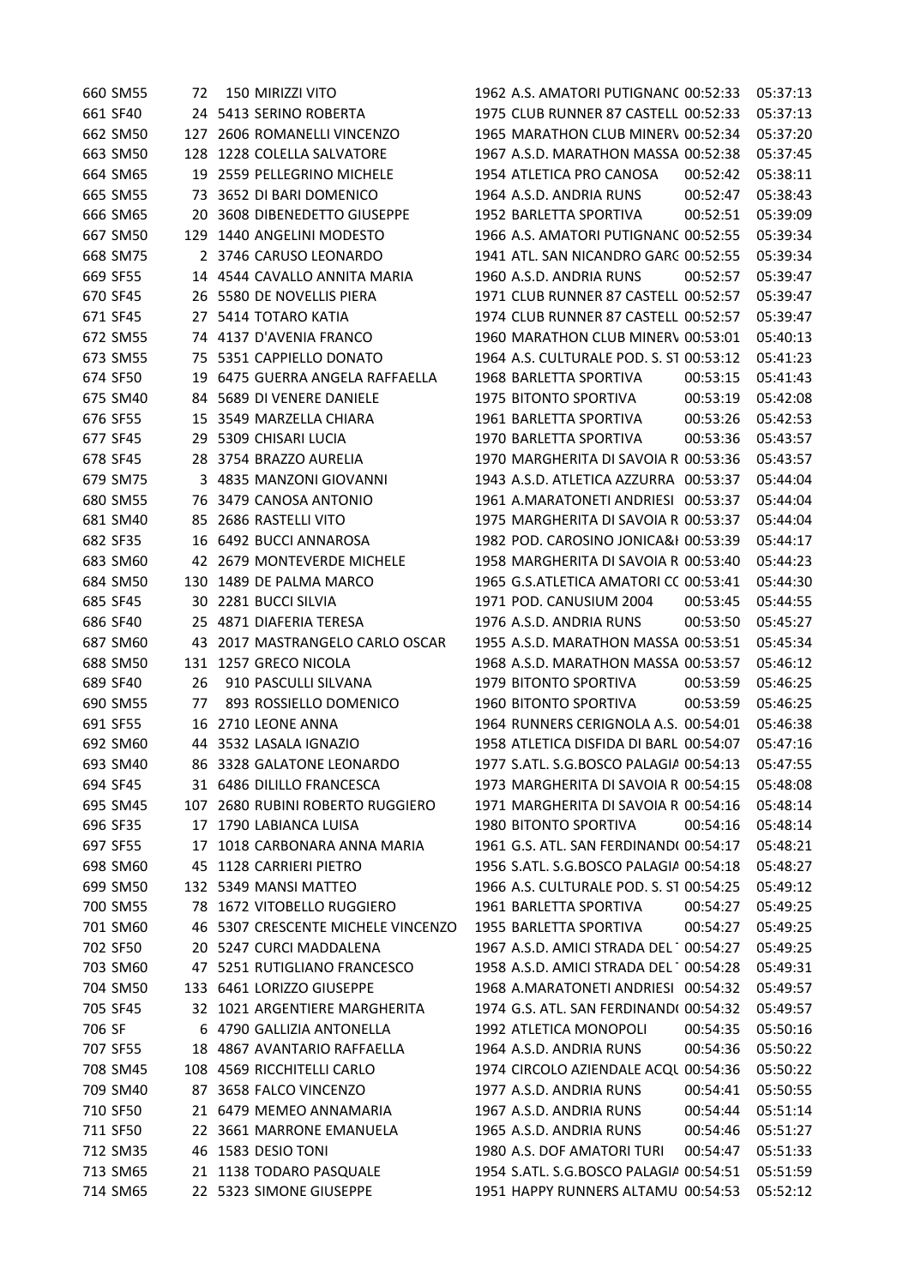| 660 SM55 | 72  | 150 MIRIZZI VITO                   | 1962 A.S. AMATORI PUTIGNANC 00:52:33    | 05:37:13 |
|----------|-----|------------------------------------|-----------------------------------------|----------|
| 661 SF40 |     | 24 5413 SERINO ROBERTA             | 1975 CLUB RUNNER 87 CASTELL 00:52:33    | 05:37:13 |
| 662 SM50 |     | 127 2606 ROMANELLI VINCENZO        | 1965 MARATHON CLUB MINERV 00:52:34      | 05:37:20 |
| 663 SM50 |     | 128 1228 COLELLA SALVATORE         | 1967 A.S.D. MARATHON MASSA 00:52:38     | 05:37:45 |
| 664 SM65 |     | 19 2559 PELLEGRINO MICHELE         | 1954 ATLETICA PRO CANOSA<br>00:52:42    | 05:38:11 |
| 665 SM55 | 73  | 3652 DI BARI DOMENICO              | 1964 A.S.D. ANDRIA RUNS<br>00:52:47     | 05:38:43 |
| 666 SM65 | 20  | 3608 DIBENEDETTO GIUSEPPE          | 1952 BARLETTA SPORTIVA<br>00:52:51      | 05:39:09 |
| 667 SM50 | 129 | 1440 ANGELINI MODESTO              | 1966 A.S. AMATORI PUTIGNANC 00:52:55    | 05:39:34 |
| 668 SM75 |     | 2 3746 CARUSO LEONARDO             | 1941 ATL. SAN NICANDRO GARC 00:52:55    | 05:39:34 |
| 669 SF55 |     | 14 4544 CAVALLO ANNITA MARIA       | 1960 A.S.D. ANDRIA RUNS<br>00:52:57     | 05:39:47 |
| 670 SF45 |     | 26 5580 DE NOVELLIS PIERA          | 1971 CLUB RUNNER 87 CASTELL 00:52:57    | 05:39:47 |
| 671 SF45 |     | 27 5414 TOTARO KATIA               | 1974 CLUB RUNNER 87 CASTELL 00:52:57    | 05:39:47 |
| 672 SM55 |     | 74 4137 D'AVENIA FRANCO            | 1960 MARATHON CLUB MINERV 00:53:01      | 05:40:13 |
| 673 SM55 |     | 75 5351 CAPPIELLO DONATO           | 1964 A.S. CULTURALE POD. S. ST 00:53:12 | 05:41:23 |
| 674 SF50 |     | 19 6475 GUERRA ANGELA RAFFAELLA    | 1968 BARLETTA SPORTIVA<br>00:53:15      | 05:41:43 |
| 675 SM40 |     | 84 5689 DI VENERE DANIELE          | 1975 BITONTO SPORTIVA<br>00:53:19       | 05:42:08 |
| 676 SF55 | 15  | 3549 MARZELLA CHIARA               | 1961 BARLETTA SPORTIVA<br>00:53:26      | 05:42:53 |
| 677 SF45 | 29  | 5309 CHISARI LUCIA                 | 1970 BARLETTA SPORTIVA<br>00:53:36      | 05:43:57 |
| 678 SF45 |     | 28 3754 BRAZZO AURELIA             | 1970 MARGHERITA DI SAVOIA R 00:53:36    | 05:43:57 |
| 679 SM75 |     | 3 4835 MANZONI GIOVANNI            | 1943 A.S.D. ATLETICA AZZURRA 00:53:37   | 05:44:04 |
| 680 SM55 |     | 76 3479 CANOSA ANTONIO             | 1961 A.MARATONETI ANDRIESI 00:53:37     | 05:44:04 |
| 681 SM40 |     | 85 2686 RASTELLI VITO              | 1975 MARGHERITA DI SAVOIA R 00:53:37    | 05:44:04 |
| 682 SF35 |     | 16 6492 BUCCI ANNAROSA             | 1982 POD. CAROSINO JONICA&I 00:53:39    | 05:44:17 |
| 683 SM60 |     | 42 2679 MONTEVERDE MICHELE         | 1958 MARGHERITA DI SAVOIA R 00:53:40    | 05:44:23 |
| 684 SM50 |     | 130 1489 DE PALMA MARCO            | 1965 G.S.ATLETICA AMATORI CC 00:53:41   | 05:44:30 |
| 685 SF45 | 30  | 2281 BUCCI SILVIA                  | 1971 POD. CANUSIUM 2004<br>00:53:45     | 05:44:55 |
| 686 SF40 |     | 25 4871 DIAFERIA TERESA            | 1976 A.S.D. ANDRIA RUNS<br>00:53:50     | 05:45:27 |
| 687 SM60 | 43  | 2017 MASTRANGELO CARLO OSCAR       | 1955 A.S.D. MARATHON MASSA 00:53:51     | 05:45:34 |
| 688 SM50 |     | 131 1257 GRECO NICOLA              | 1968 A.S.D. MARATHON MASSA 00:53:57     | 05:46:12 |
| 689 SF40 | 26  | 910 PASCULLI SILVANA               | 1979 BITONTO SPORTIVA<br>00:53:59       | 05:46:25 |
| 690 SM55 | 77  | 893 ROSSIELLO DOMENICO             | 1960 BITONTO SPORTIVA<br>00:53:59       | 05:46:25 |
| 691 SF55 |     | 16 2710 LEONE ANNA                 | 1964 RUNNERS CERIGNOLA A.S. 00:54:01    | 05:46:38 |
| 692 SM60 |     | 44 3532 LASALA IGNAZIO             | 1958 ATLETICA DISFIDA DI BARLI 00:54:07 | 05:47:16 |
| 693 SM40 |     | 86 3328 GALATONE LEONARDO          | 1977 S.ATL. S.G.BOSCO PALAGIA 00:54:13  | 05:47:55 |
| 694 SF45 |     | 31 6486 DILILLO FRANCESCA          | 1973 MARGHERITA DI SAVOIA R 00:54:15    | 05:48:08 |
| 695 SM45 |     | 107 2680 RUBINI ROBERTO RUGGIERO   | 1971 MARGHERITA DI SAVOIA R 00:54:16    | 05:48:14 |
| 696 SF35 |     | 17 1790 LABIANCA LUISA             | 1980 BITONTO SPORTIVA<br>00:54:16       | 05:48:14 |
| 697 SF55 | 17  | 1018 CARBONARA ANNA MARIA          | 1961 G.S. ATL. SAN FERDINAND( 00:54:17  | 05:48:21 |
| 698 SM60 | 45  | 1128 CARRIERI PIETRO               | 1956 S.ATL. S.G.BOSCO PALAGIA 00:54:18  | 05:48:27 |
| 699 SM50 |     | 132 5349 MANSI MATTEO              | 1966 A.S. CULTURALE POD. S. ST 00:54:25 | 05:49:12 |
| 700 SM55 |     | 78 1672 VITOBELLO RUGGIERO         | 1961 BARLETTA SPORTIVA<br>00:54:27      | 05:49:25 |
| 701 SM60 |     | 46 5307 CRESCENTE MICHELE VINCENZO | 1955 BARLETTA SPORTIVA<br>00:54:27      | 05:49:25 |
| 702 SF50 |     | 20 5247 CURCI MADDALENA            | 1967 A.S.D. AMICI STRADA DEL 100:54:27  | 05:49:25 |
| 703 SM60 |     | 47 5251 RUTIGLIANO FRANCESCO       | 1958 A.S.D. AMICI STRADA DEL 100:54:28  | 05:49:31 |
| 704 SM50 |     | 133 6461 LORIZZO GIUSEPPE          | 1968 A.MARATONETI ANDRIESI 00:54:32     | 05:49:57 |
| 705 SF45 |     | 32 1021 ARGENTIERE MARGHERITA      | 1974 G.S. ATL. SAN FERDINAND( 00:54:32  | 05:49:57 |
| 706 SF   |     | 6 4790 GALLIZIA ANTONELLA          | 1992 ATLETICA MONOPOLI<br>00:54:35      | 05:50:16 |
| 707 SF55 |     | 18 4867 AVANTARIO RAFFAELLA        | 1964 A.S.D. ANDRIA RUNS<br>00:54:36     | 05:50:22 |
| 708 SM45 |     | 108 4569 RICCHITELLI CARLO         | 1974 CIRCOLO AZIENDALE ACQL 00:54:36    | 05:50:22 |
| 709 SM40 | 87  | 3658 FALCO VINCENZO                | 1977 A.S.D. ANDRIA RUNS<br>00:54:41     | 05:50:55 |
| 710 SF50 |     | 21 6479 MEMEO ANNAMARIA            | 1967 A.S.D. ANDRIA RUNS<br>00:54:44     | 05:51:14 |
| 711 SF50 |     | 22 3661 MARRONE EMANUELA           | 1965 A.S.D. ANDRIA RUNS<br>00:54:46     | 05:51:27 |
| 712 SM35 |     | 46 1583 DESIO TONI                 | 1980 A.S. DOF AMATORI TURI<br>00:54:47  | 05:51:33 |
| 713 SM65 |     | 21 1138 TODARO PASQUALE            | 1954 S.ATL. S.G.BOSCO PALAGIA 00:54:51  | 05:51:59 |
| 714 SM65 |     | 22 5323 SIMONE GIUSEPPE            | 1951 HAPPY RUNNERS ALTAMU 00:54:53      | 05:52:12 |
|          |     |                                    |                                         |          |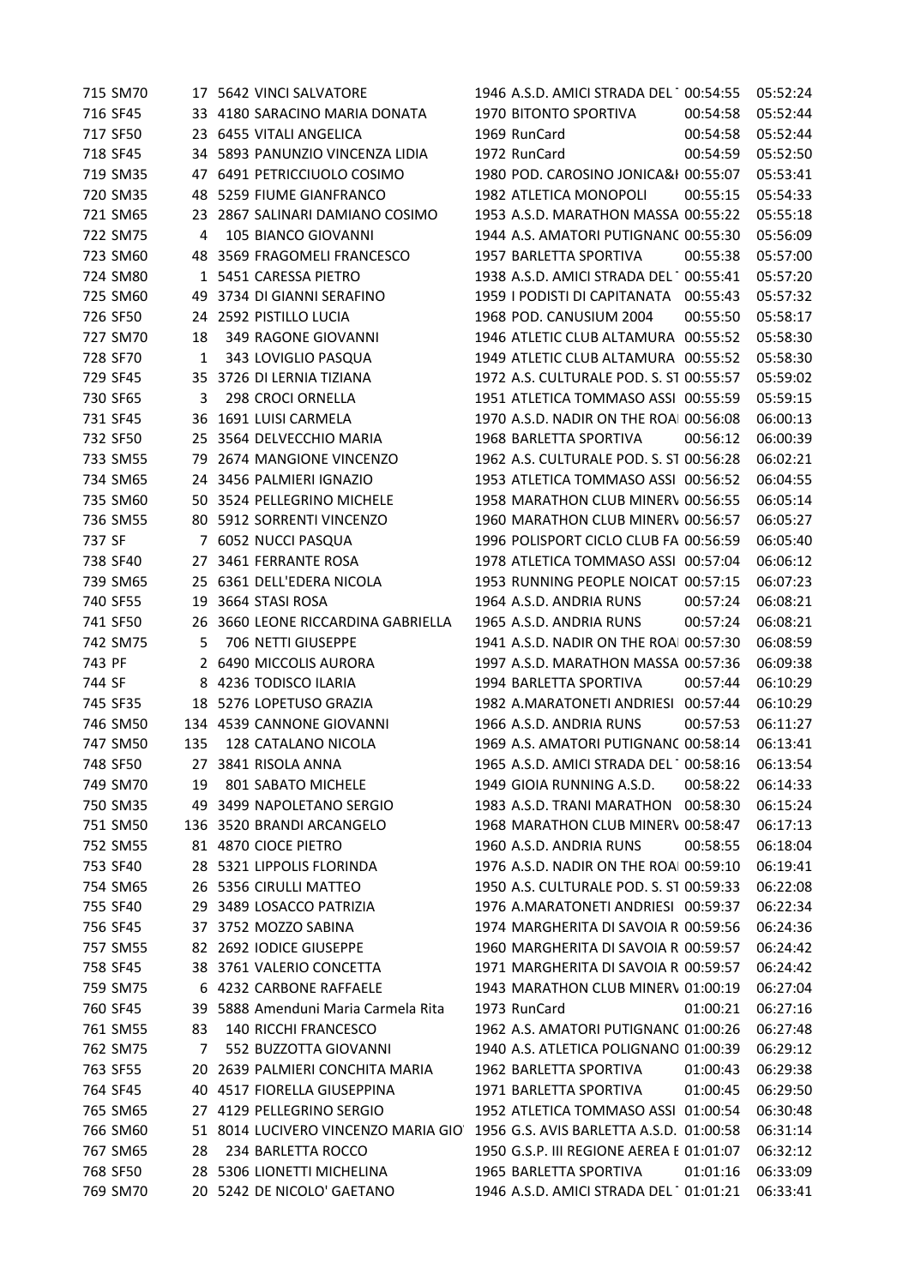| 715 SM70 |              | 17 5642 VINCI SALVATORE             | 1946 A.S.D. AMICI STRADA DEL 100:54:55   |          | 05:52:24 |
|----------|--------------|-------------------------------------|------------------------------------------|----------|----------|
| 716 SF45 |              | 33 4180 SARACINO MARIA DONATA       | 1970 BITONTO SPORTIVA                    | 00:54:58 | 05:52:44 |
| 717 SF50 |              | 23 6455 VITALI ANGELICA             | 1969 RunCard                             | 00:54:58 | 05:52:44 |
| 718 SF45 |              | 34 5893 PANUNZIO VINCENZA LIDIA     | 1972 RunCard                             | 00:54:59 | 05:52:50 |
| 719 SM35 |              | 47 6491 PETRICCIUOLO COSIMO         | 1980 POD. CAROSINO JONICA&I 00:55:07     |          | 05:53:41 |
| 720 SM35 | 48           | 5259 FIUME GIANFRANCO               | 1982 ATLETICA MONOPOLI                   | 00:55:15 | 05:54:33 |
| 721 SM65 | 23           | 2867 SALINARI DAMIANO COSIMO        | 1953 A.S.D. MARATHON MASSA 00:55:22      |          | 05:55:18 |
| 722 SM75 | 4            | 105 BIANCO GIOVANNI                 | 1944 A.S. AMATORI PUTIGNANC 00:55:30     |          | 05:56:09 |
| 723 SM60 |              | 48 3569 FRAGOMELI FRANCESCO         | 1957 BARLETTA SPORTIVA                   | 00:55:38 | 05:57:00 |
| 724 SM80 |              | 1 5451 CARESSA PIETRO               | 1938 A.S.D. AMICI STRADA DEL 1 00:55:41  |          | 05:57:20 |
| 725 SM60 | 49           | 3734 DI GIANNI SERAFINO             | 1959   PODISTI DI CAPITANATA 00:55:43    |          | 05:57:32 |
| 726 SF50 |              | 24 2592 PISTILLO LUCIA              | 1968 POD. CANUSIUM 2004                  | 00:55:50 | 05:58:17 |
| 727 SM70 | 18           | 349 RAGONE GIOVANNI                 | 1946 ATLETIC CLUB ALTAMURA 00:55:52      |          | 05:58:30 |
| 728 SF70 | $\mathbf{1}$ | 343 LOVIGLIO PASQUA                 | 1949 ATLETIC CLUB ALTAMURA 00:55:52      |          | 05:58:30 |
| 729 SF45 |              | 35 3726 DI LERNIA TIZIANA           | 1972 A.S. CULTURALE POD. S. ST 00:55:57  |          | 05:59:02 |
| 730 SF65 | 3            | 298 CROCI ORNELLA                   | 1951 ATLETICA TOMMASO ASSI 00:55:59      |          | 05:59:15 |
| 731 SF45 |              | 36 1691 LUISI CARMELA               | 1970 A.S.D. NADIR ON THE ROAI 00:56:08   |          | 06:00:13 |
| 732 SF50 | 25           | 3564 DELVECCHIO MARIA               | 1968 BARLETTA SPORTIVA                   | 00:56:12 | 06:00:39 |
| 733 SM55 | 79           | 2674 MANGIONE VINCENZO              | 1962 A.S. CULTURALE POD. S. ST 00:56:28  |          | 06:02:21 |
| 734 SM65 |              | 24 3456 PALMIERI IGNAZIO            | 1953 ATLETICA TOMMASO ASSI 00:56:52      |          | 06:04:55 |
| 735 SM60 |              | 50 3524 PELLEGRINO MICHELE          | 1958 MARATHON CLUB MINERV 00:56:55       |          | 06:05:14 |
| 736 SM55 |              | 80 5912 SORRENTI VINCENZO           | 1960 MARATHON CLUB MINERV 00:56:57       |          | 06:05:27 |
| 737 SF   |              | 7 6052 NUCCI PASQUA                 | 1996 POLISPORT CICLO CLUB FA 00:56:59    |          | 06:05:40 |
| 738 SF40 |              | 27 3461 FERRANTE ROSA               | 1978 ATLETICA TOMMASO ASSI 00:57:04      |          | 06:06:12 |
| 739 SM65 |              | 25 6361 DELL'EDERA NICOLA           | 1953 RUNNING PEOPLE NOICAT 00:57:15      |          | 06:07:23 |
| 740 SF55 | 19           | 3664 STASI ROSA                     | 1964 A.S.D. ANDRIA RUNS                  | 00:57:24 | 06:08:21 |
| 741 SF50 | 26           | 3660 LEONE RICCARDINA GABRIELLA     | 1965 A.S.D. ANDRIA RUNS                  | 00:57:24 | 06:08:21 |
| 742 SM75 | 5            | 706 NETTI GIUSEPPE                  | 1941 A.S.D. NADIR ON THE ROAI 00:57:30   |          | 06:08:59 |
| 743 PF   |              | 2 6490 MICCOLIS AURORA              | 1997 A.S.D. MARATHON MASSA 00:57:36      |          | 06:09:38 |
| 744 SF   |              | 8 4236 TODISCO ILARIA               | 1994 BARLETTA SPORTIVA                   | 00:57:44 | 06:10:29 |
| 745 SF35 |              | 18 5276 LOPETUSO GRAZIA             | 1982 A.MARATONETI ANDRIESI 00:57:44      |          | 06:10:29 |
| 746 SM50 |              | 134 4539 CANNONE GIOVANNI           | 1966 A.S.D. ANDRIA RUNS                  | 00:57:53 | 06:11:27 |
| 747 SM50 | 135          | 128 CATALANO NICOLA                 | 1969 A.S. AMATORI PUTIGNANC 00:58:14     |          | 06:13:41 |
| 748 SF50 |              | 27 3841 RISOLA ANNA                 | 1965 A.S.D. AMICI STRADA DEL 1 00:58:16  |          | 06:13:54 |
| 749 SM70 | 19           | 801 SABATO MICHELE                  | 1949 GIOIA RUNNING A.S.D.                | 00:58:22 | 06:14:33 |
| 750 SM35 |              | 49 3499 NAPOLETANO SERGIO           | 1983 A.S.D. TRANI MARATHON 00:58:30      |          | 06:15:24 |
| 751 SM50 |              | 136 3520 BRANDI ARCANGELO           | 1968 MARATHON CLUB MINERV 00:58:47       |          | 06:17:13 |
| 752 SM55 |              | 81 4870 CIOCE PIETRO                | 1960 A.S.D. ANDRIA RUNS                  | 00:58:55 | 06:18:04 |
| 753 SF40 |              | 28 5321 LIPPOLIS FLORINDA           | 1976 A.S.D. NADIR ON THE ROAL 00:59:10   |          | 06:19:41 |
| 754 SM65 |              | 26 5356 CIRULLI MATTEO              | 1950 A.S. CULTURALE POD. S. ST 00:59:33  |          | 06:22:08 |
| 755 SF40 | 29           | 3489 LOSACCO PATRIZIA               | 1976 A.MARATONETI ANDRIESI 00:59:37      |          | 06:22:34 |
| 756 SF45 |              | 37 3752 MOZZO SABINA                | 1974 MARGHERITA DI SAVOIA R 00:59:56     |          | 06:24:36 |
| 757 SM55 |              | 82 2692 IODICE GIUSEPPE             | 1960 MARGHERITA DI SAVOIA R 00:59:57     |          | 06:24:42 |
| 758 SF45 |              | 38 3761 VALERIO CONCETTA            | 1971 MARGHERITA DI SAVOIA R 00:59:57     |          | 06:24:42 |
| 759 SM75 |              | 6 4232 CARBONE RAFFAELE             | 1943 MARATHON CLUB MINERV 01:00:19       |          | 06:27:04 |
| 760 SF45 |              | 39 5888 Amenduni Maria Carmela Rita | 1973 RunCard                             | 01:00:21 | 06:27:16 |
| 761 SM55 | 83           | 140 RICCHI FRANCESCO                | 1962 A.S. AMATORI PUTIGNANC 01:00:26     |          | 06:27:48 |
| 762 SM75 | 7            | 552 BUZZOTTA GIOVANNI               | 1940 A.S. ATLETICA POLIGNANO 01:00:39    |          | 06:29:12 |
| 763 SF55 |              | 20 2639 PALMIERI CONCHITA MARIA     | 1962 BARLETTA SPORTIVA                   | 01:00:43 | 06:29:38 |
| 764 SF45 | 40           | 4517 FIORELLA GIUSEPPINA            | 1971 BARLETTA SPORTIVA                   | 01:00:45 | 06:29:50 |
| 765 SM65 |              | 27 4129 PELLEGRINO SERGIO           | 1952 ATLETICA TOMMASO ASSI 01:00:54      |          | 06:30:48 |
| 766 SM60 |              | 51 8014 LUCIVERO VINCENZO MARIA GIO | 1956 G.S. AVIS BARLETTA A.S.D. 01:00:58  |          | 06:31:14 |
| 767 SM65 | 28           | 234 BARLETTA ROCCO                  | 1950 G.S.P. III REGIONE AEREA E 01:01:07 |          | 06:32:12 |
| 768 SF50 |              | 28 5306 LIONETTI MICHELINA          | 1965 BARLETTA SPORTIVA                   | 01:01:16 | 06:33:09 |
| 769 SM70 |              | 20 5242 DE NICOLO' GAETANO          | 1946 A.S.D. AMICI STRADA DEL 101:01:21   |          | 06:33:41 |
|          |              |                                     |                                          |          |          |